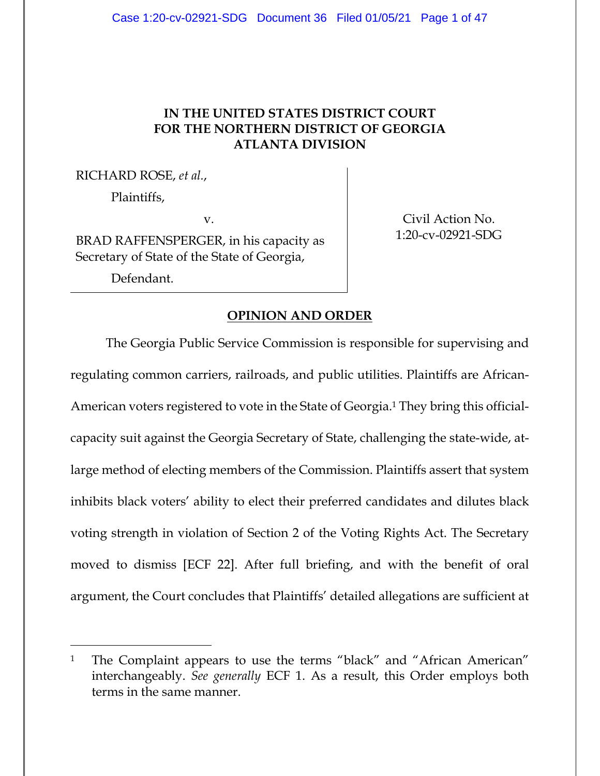## **IN THE UNITED STATES DISTRICT COURT FOR THE NORTHERN DISTRICT OF GEORGIA ATLANTA DIVISION**

RICHARD ROSE, *et al.*,

Plaintiffs,

v.

BRAD RAFFENSPERGER, in his capacity as Secretary of State of the State of Georgia,

Defendant.

Civil Action No. 1:20-cv-02921-SDG

## **OPINION AND ORDER**

The Georgia Public Service Commission is responsible for supervising and regulating common carriers, railroads, and public utilities. Plaintiffs are African-American voters registered to vote in the State of Georgia.1 They bring this officialcapacity suit against the Georgia Secretary of State, challenging the state-wide, atlarge method of electing members of the Commission. Plaintiffs assert that system inhibits black voters' ability to elect their preferred candidates and dilutes black voting strength in violation of Section 2 of the Voting Rights Act. The Secretary moved to dismiss [ECF 22]. After full briefing, and with the benefit of oral argument, the Court concludes that Plaintiffs' detailed allegations are sufficient at

<sup>&</sup>lt;sup>1</sup> The Complaint appears to use the terms "black" and "African American" interchangeably. *See generally* ECF 1. As a result, this Order employs both terms in the same manner.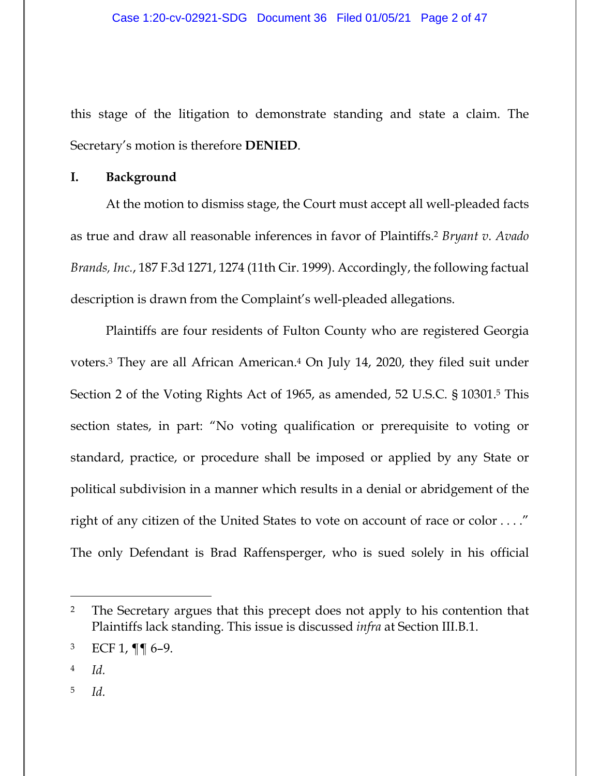this stage of the litigation to demonstrate standing and state a claim. The Secretary's motion is therefore **DENIED**.

#### **I. Background**

At the motion to dismiss stage, the Court must accept all well-pleaded facts as true and draw all reasonable inferences in favor of Plaintiffs.2 *Bryant v. Avado Brands, Inc.*, 187 F.3d 1271, 1274 (11th Cir. 1999). Accordingly, the following factual description is drawn from the Complaint's well-pleaded allegations.

Plaintiffs are four residents of Fulton County who are registered Georgia voters.3 They are all African American.4 On July 14, 2020, they filed suit under Section 2 of the Voting Rights Act of 1965, as amended, 52 U.S.C. § 10301.5 This section states, in part: "No voting qualification or prerequisite to voting or standard, practice, or procedure shall be imposed or applied by any State or political subdivision in a manner which results in a denial or abridgement of the right of any citizen of the United States to vote on account of race or color . . . ." The only Defendant is Brad Raffensperger, who is sued solely in his official

<sup>&</sup>lt;sup>2</sup> The Secretary argues that this precept does not apply to his contention that Plaintiffs lack standing. This issue is discussed *infra* at Section III.B.1.

 $^3$  ECF 1, ¶ [ 6–9.

<sup>4</sup> *Id.*

<sup>5</sup> *Id.*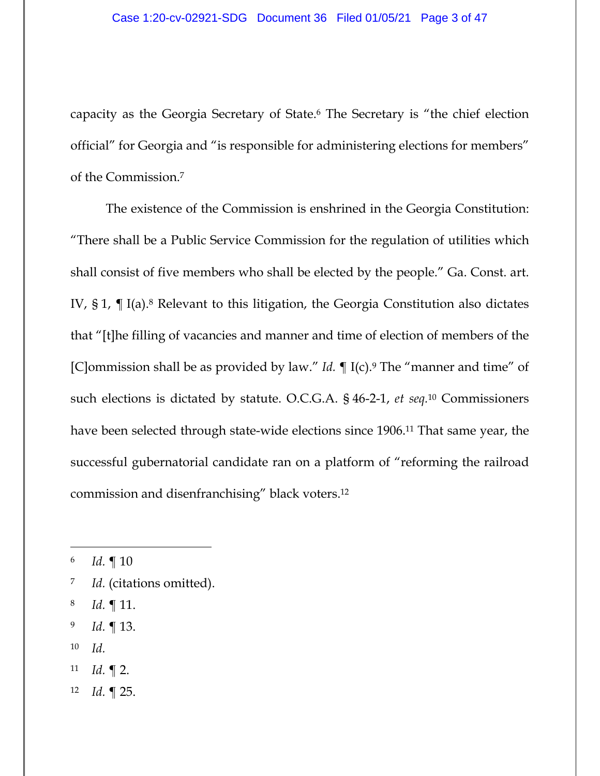capacity as the Georgia Secretary of State.6 The Secretary is "the chief election official" for Georgia and "is responsible for administering elections for members" of the Commission.7

The existence of the Commission is enshrined in the Georgia Constitution: "There shall be a Public Service Commission for the regulation of utilities which shall consist of five members who shall be elected by the people." Ga. Const. art. IV,  $\S 1$ ,  $\P$  I(a).<sup>8</sup> Relevant to this litigation, the Georgia Constitution also dictates that "[t]he filling of vacancies and manner and time of election of members of the [C]ommission shall be as provided by law." *Id.* ¶ I(c).9 The "manner and time" of such elections is dictated by statute. O.C.G.A. § 46-2-1, *et seq.*10 Commissioners have been selected through state-wide elections since 1906.11 That same year, the successful gubernatorial candidate ran on a platform of "reforming the railroad commission and disenfranchising" black voters.12

- 7 *Id.* (citations omitted).
- 8 *Id.* ¶ 11.
- 9 *Id.* ¶ 13.
- 10 *Id.*
- 11 *Id.* ¶ 2.
- 12 *Id.* ¶ 25.

<sup>6</sup> *Id.* ¶ 10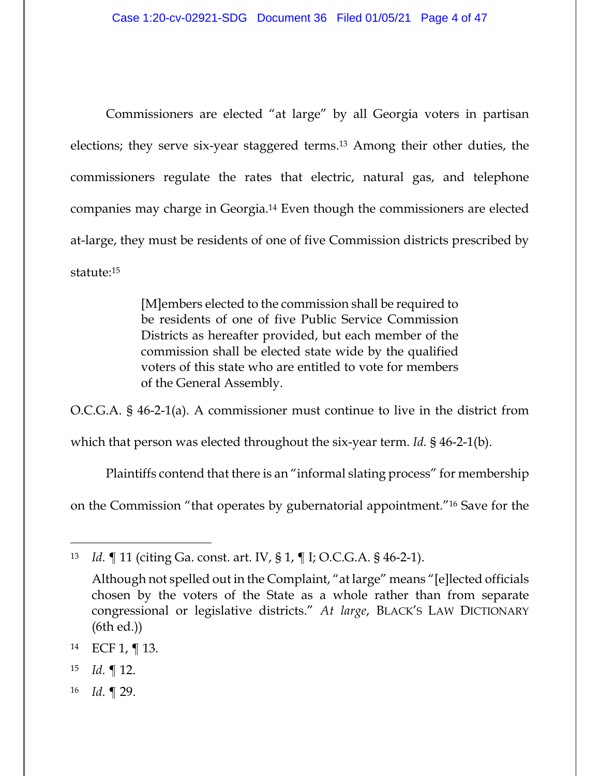Commissioners are elected "at large" by all Georgia voters in partisan elections; they serve six-year staggered terms.13 Among their other duties, the commissioners regulate the rates that electric, natural gas, and telephone companies may charge in Georgia.14 Even though the commissioners are elected at-large, they must be residents of one of five Commission districts prescribed by statute:15

> [M]embers elected to the commission shall be required to be residents of one of five Public Service Commission Districts as hereafter provided, but each member of the commission shall be elected state wide by the qualified voters of this state who are entitled to vote for members of the General Assembly.

O.C.G.A. § 46-2-1(a). A commissioner must continue to live in the district from

which that person was elected throughout the six-year term. *Id.* § 46-2-1(b).

Plaintiffs contend that there is an "informal slating process" for membership

on the Commission "that operates by gubernatorial appointment."16 Save for the

- 15 *Id.* ¶ 12.
- 16 *Id.* ¶ 29.

<sup>13</sup> *Id.* ¶ 11 (citing Ga. const. art. IV, § 1, ¶ I; O.C.G.A. § 46-2-1).

Although not spelled out in the Complaint, "at large" means "[e]lected officials chosen by the voters of the State as a whole rather than from separate congressional or legislative districts." *At large*, BLACK'S LAW DICTIONARY (6th ed.))

<sup>14</sup> ECF 1, ¶ 13.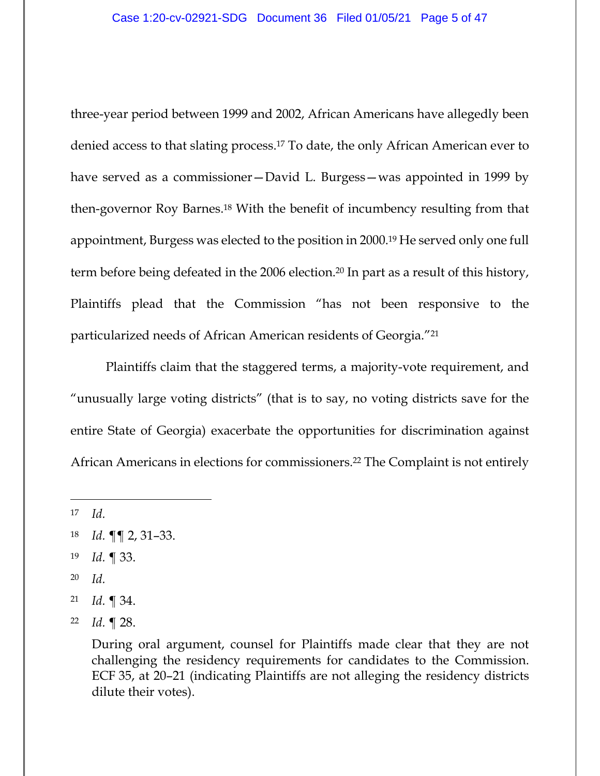three-year period between 1999 and 2002, African Americans have allegedly been denied access to that slating process.17 To date, the only African American ever to have served as a commissioner—David L. Burgess—was appointed in 1999 by then-governor Roy Barnes.18 With the benefit of incumbency resulting from that appointment, Burgess was elected to the position in 2000.19 He served only one full term before being defeated in the 2006 election.20 In part as a result of this history, Plaintiffs plead that the Commission "has not been responsive to the particularized needs of African American residents of Georgia."21

Plaintiffs claim that the staggered terms, a majority-vote requirement, and "unusually large voting districts" (that is to say, no voting districts save for the entire State of Georgia) exacerbate the opportunities for discrimination against African Americans in elections for commissioners.22 The Complaint is not entirely

17 *Id.*

- 19 *Id.* ¶ 33.
- 20 *Id.*
- 21 *Id.* ¶ 34.

<sup>18</sup> *Id.* ¶¶ 2, 31–33.

<sup>22</sup> *Id.* ¶ 28.

During oral argument, counsel for Plaintiffs made clear that they are not challenging the residency requirements for candidates to the Commission. ECF 35, at 20–21 (indicating Plaintiffs are not alleging the residency districts dilute their votes).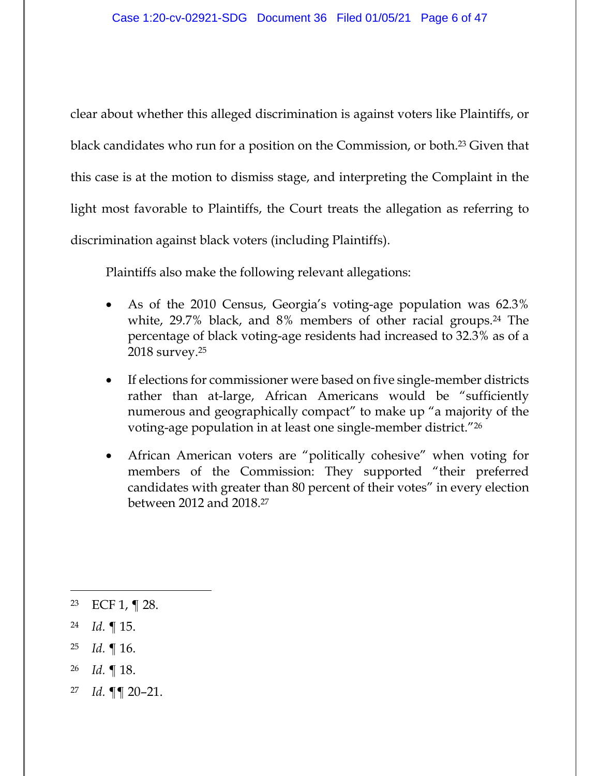clear about whether this alleged discrimination is against voters like Plaintiffs, or black candidates who run for a position on the Commission, or both.23 Given that this case is at the motion to dismiss stage, and interpreting the Complaint in the light most favorable to Plaintiffs, the Court treats the allegation as referring to discrimination against black voters (including Plaintiffs).

Plaintiffs also make the following relevant allegations:

- As of the 2010 Census, Georgia's voting-age population was 62.3% white, 29.7% black, and 8% members of other racial groups.<sup>24</sup> The percentage of black voting-age residents had increased to 32.3% as of a 2018 survey.25
- If elections for commissioner were based on five single-member districts rather than at-large, African Americans would be "sufficiently numerous and geographically compact" to make up "a majority of the voting-age population in at least one single-member district."26
- African American voters are "politically cohesive" when voting for members of the Commission: They supported "their preferred candidates with greater than 80 percent of their votes" in every election between 2012 and 2018.27

- 25 *Id.* ¶ 16.
- 26 *Id.* ¶ 18.
- 27 *Id.* ¶¶ 20–21.

<sup>23</sup> ECF 1, ¶ 28.

<sup>24</sup> *Id.* ¶ 15.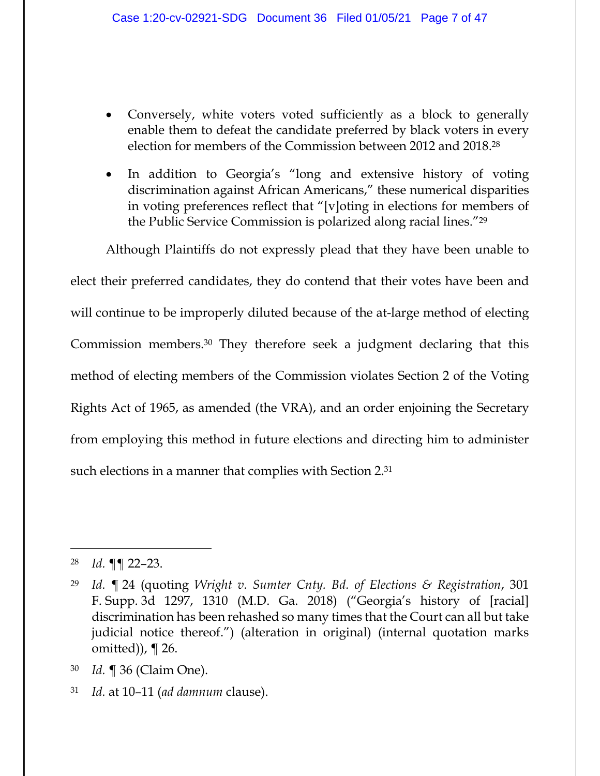- Conversely, white voters voted sufficiently as a block to generally enable them to defeat the candidate preferred by black voters in every election for members of the Commission between 2012 and 2018.28
- In addition to Georgia's "long and extensive history of voting discrimination against African Americans," these numerical disparities in voting preferences reflect that "[v]oting in elections for members of the Public Service Commission is polarized along racial lines."29

Although Plaintiffs do not expressly plead that they have been unable to elect their preferred candidates, they do contend that their votes have been and will continue to be improperly diluted because of the at-large method of electing Commission members.30 They therefore seek a judgment declaring that this method of electing members of the Commission violates Section 2 of the Voting Rights Act of 1965, as amended (the VRA), and an order enjoining the Secretary from employing this method in future elections and directing him to administer such elections in a manner that complies with Section 2.31

28 *Id.* ¶¶ 22–23.

<sup>29</sup> *Id.* ¶ 24 (quoting *Wright v. Sumter Cnty. Bd. of Elections & Registration*, 301 F. Supp. 3d 1297, 1310 (M.D. Ga. 2018) ("Georgia's history of [racial] discrimination has been rehashed so many times that the Court can all but take judicial notice thereof.") (alteration in original) (internal quotation marks omitted)), ¶ 26.

<sup>30</sup> *Id.* ¶ 36 (Claim One).

<sup>31</sup> *Id.* at 10–11 (*ad damnum* clause).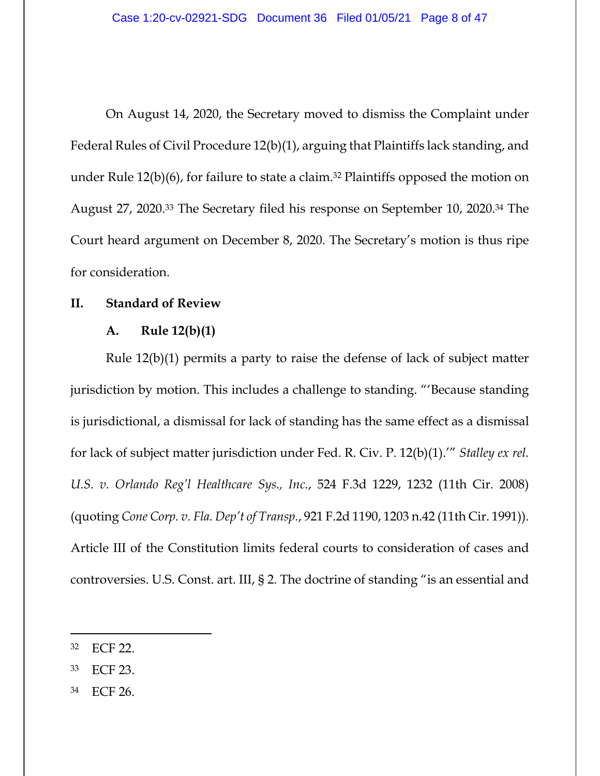On August 14, 2020, the Secretary moved to dismiss the Complaint under Federal Rules of Civil Procedure 12(b)(1), arguing that Plaintiffs lack standing, and under Rule 12(b)(6), for failure to state a claim.32 Plaintiffs opposed the motion on August 27, 2020.33 The Secretary filed his response on September 10, 2020.34 The Court heard argument on December 8, 2020. The Secretary's motion is thus ripe for consideration.

## **II. Standard of Review**

### **A. Rule 12(b)(1)**

Rule 12(b)(1) permits a party to raise the defense of lack of subject matter jurisdiction by motion. This includes a challenge to standing. "'Because standing is jurisdictional, a dismissal for lack of standing has the same effect as a dismissal for lack of subject matter jurisdiction under Fed. R. Civ. P. 12(b)(1).'" *Stalley ex rel. U.S. v. Orlando Reg'l Healthcare Sys., Inc.*, 524 F.3d 1229, 1232 (11th Cir. 2008) (quoting *Cone Corp. v. Fla. Dep't of Transp.*, 921 F.2d 1190, 1203 n.42 (11th Cir. 1991)). Article III of the Constitution limits federal courts to consideration of cases and controversies. U.S. Const. art. III, § 2. The doctrine of standing "is an essential and

34 ECF 26.

<sup>32</sup> ECF 22.

<sup>33</sup> ECF 23.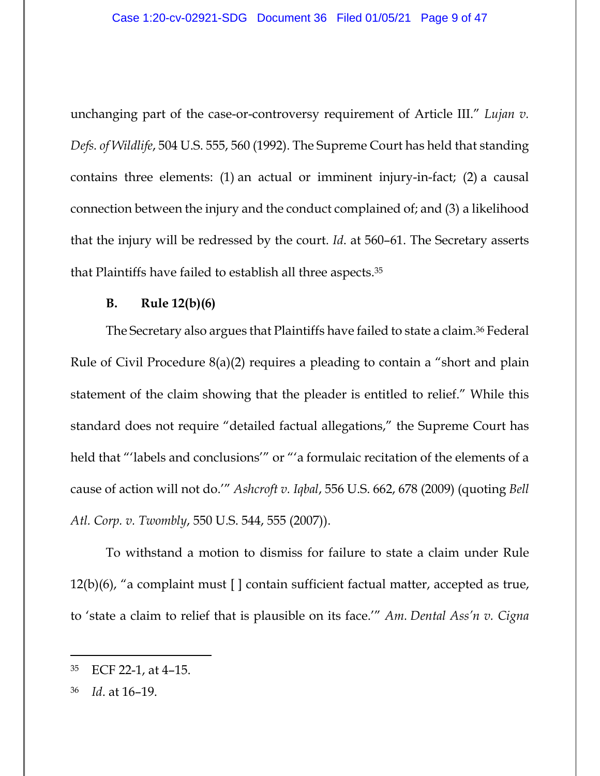unchanging part of the case-or-controversy requirement of Article III." *Lujan v. Defs. of Wildlife*, 504 U.S. 555, 560 (1992). The Supreme Court has held that standing contains three elements: (1) an actual or imminent injury-in-fact; (2) a causal connection between the injury and the conduct complained of; and (3) a likelihood that the injury will be redressed by the court. *Id*. at 560–61. The Secretary asserts that Plaintiffs have failed to establish all three aspects.35

#### **B. Rule 12(b)(6)**

The Secretary also argues that Plaintiffs have failed to state a claim.36 Federal Rule of Civil Procedure 8(a)(2) requires a pleading to contain a "short and plain statement of the claim showing that the pleader is entitled to relief." While this standard does not require "detailed factual allegations," the Supreme Court has held that "'labels and conclusions'" or "'a formulaic recitation of the elements of a cause of action will not do.'" *Ashcroft v. Iqbal*, 556 U.S. 662, 678 (2009) (quoting *Bell Atl. Corp. v. Twombly*, 550 U.S. 544, 555 (2007)).

To withstand a motion to dismiss for failure to state a claim under Rule 12(b)(6), "a complaint must [ ] contain sufficient factual matter, accepted as true, to 'state a claim to relief that is plausible on its face.'" *Am. Dental Ass'n v. Cigna* 

<sup>35</sup> ECF 22-1, at 4–15.

<sup>36</sup> *Id*. at 16–19.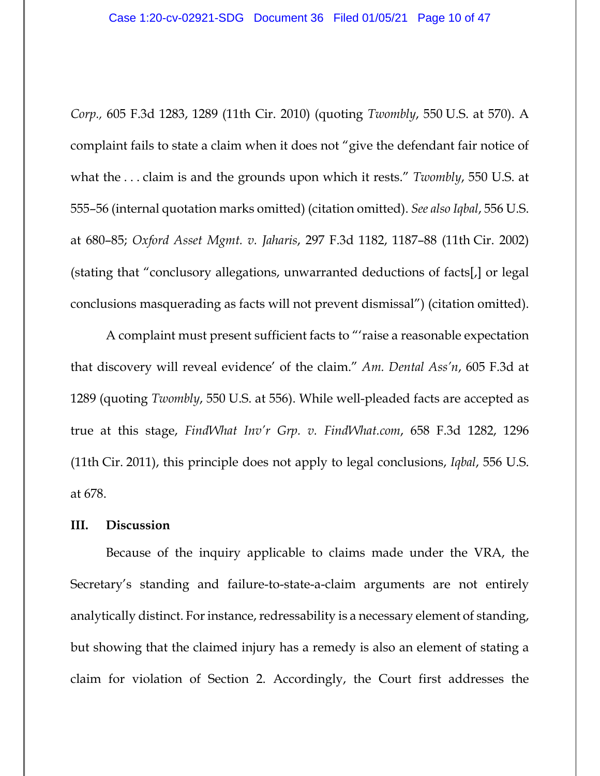*Corp.,* 605 F.3d 1283, 1289 (11th Cir. 2010) (quoting *Twombly*, 550 U.S. at 570). A complaint fails to state a claim when it does not "give the defendant fair notice of what the . . . claim is and the grounds upon which it rests." *Twombly*, 550 U.S. at 555–56 (internal quotation marks omitted) (citation omitted). *See also Iqbal*, 556 U.S. at 680–85; *Oxford Asset Mgmt. v. Jaharis*, 297 F.3d 1182, 1187–88 (11th Cir. 2002) (stating that "conclusory allegations, unwarranted deductions of facts[,] or legal conclusions masquerading as facts will not prevent dismissal") (citation omitted).

A complaint must present sufficient facts to "'raise a reasonable expectation that discovery will reveal evidence' of the claim." *Am. Dental Ass'n*, 605 F.3d at 1289 (quoting *Twombly*, 550 U.S. at 556). While well-pleaded facts are accepted as true at this stage, *FindWhat Inv'r Grp. v. FindWhat.com*, 658 F.3d 1282, 1296 (11th Cir. 2011), this principle does not apply to legal conclusions, *Iqbal*, 556 U.S. at 678.

## **III. Discussion**

Because of the inquiry applicable to claims made under the VRA, the Secretary's standing and failure-to-state-a-claim arguments are not entirely analytically distinct. For instance, redressability is a necessary element of standing, but showing that the claimed injury has a remedy is also an element of stating a claim for violation of Section 2. Accordingly, the Court first addresses the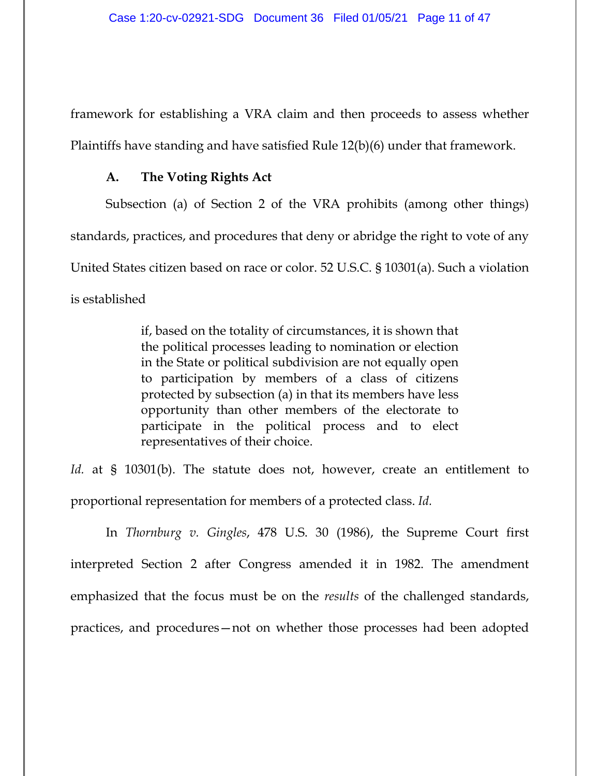framework for establishing a VRA claim and then proceeds to assess whether Plaintiffs have standing and have satisfied Rule 12(b)(6) under that framework.

### **A. The Voting Rights Act**

Subsection (a) of Section 2 of the VRA prohibits (among other things) standards, practices, and procedures that deny or abridge the right to vote of any United States citizen based on race or color. 52 U.S.C. § 10301(a). Such a violation is established

> if, based on the totality of circumstances, it is shown that the political processes leading to nomination or election in the State or political subdivision are not equally open to participation by members of a class of citizens protected by subsection (a) in that its members have less opportunity than other members of the electorate to participate in the political process and to elect representatives of their choice.

Id. at § 10301(b). The statute does not, however, create an entitlement to proportional representation for members of a protected class. *Id.*

In *Thornburg v. Gingles*, 478 U.S. 30 (1986), the Supreme Court first interpreted Section 2 after Congress amended it in 1982. The amendment emphasized that the focus must be on the *results* of the challenged standards, practices, and procedures—not on whether those processes had been adopted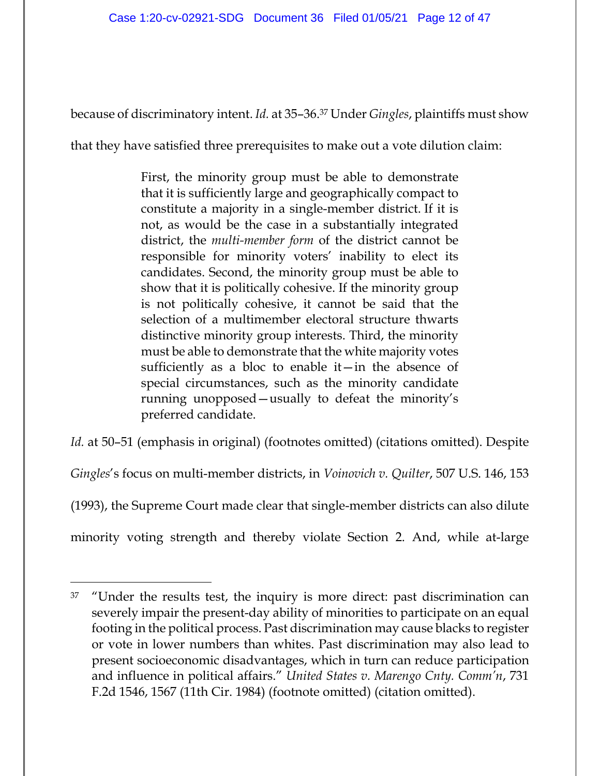because of discriminatory intent. *Id.* at 35–36.37 Under *Gingles*, plaintiffs must show

that they have satisfied three prerequisites to make out a vote dilution claim:

First, the minority group must be able to demonstrate that it is sufficiently large and geographically compact to constitute a majority in a single-member district. If it is not, as would be the case in a substantially integrated district, the *multi-member form* of the district cannot be responsible for minority voters' inability to elect its candidates. Second, the minority group must be able to show that it is politically cohesive. If the minority group is not politically cohesive, it cannot be said that the selection of a multimember electoral structure thwarts distinctive minority group interests. Third, the minority must be able to demonstrate that the white majority votes sufficiently as a bloc to enable it—in the absence of special circumstances, such as the minority candidate running unopposed—usually to defeat the minority's preferred candidate.

*Id.* at 50–51 (emphasis in original) (footnotes omitted) (citations omitted). Despite *Gingles*'s focus on multi-member districts, in *Voinovich v. Quilter*, 507 U.S. 146, 153 (1993), the Supreme Court made clear that single-member districts can also dilute minority voting strength and thereby violate Section 2. And, while at-large

<sup>&</sup>lt;sup>37</sup> "Under the results test, the inquiry is more direct: past discrimination can severely impair the present-day ability of minorities to participate on an equal footing in the political process. Past discrimination may cause blacks to register or vote in lower numbers than whites. Past discrimination may also lead to present socioeconomic disadvantages, which in turn can reduce participation and influence in political affairs." *United States v. Marengo Cnty. Comm'n*, 731 F.2d 1546, 1567 (11th Cir. 1984) (footnote omitted) (citation omitted).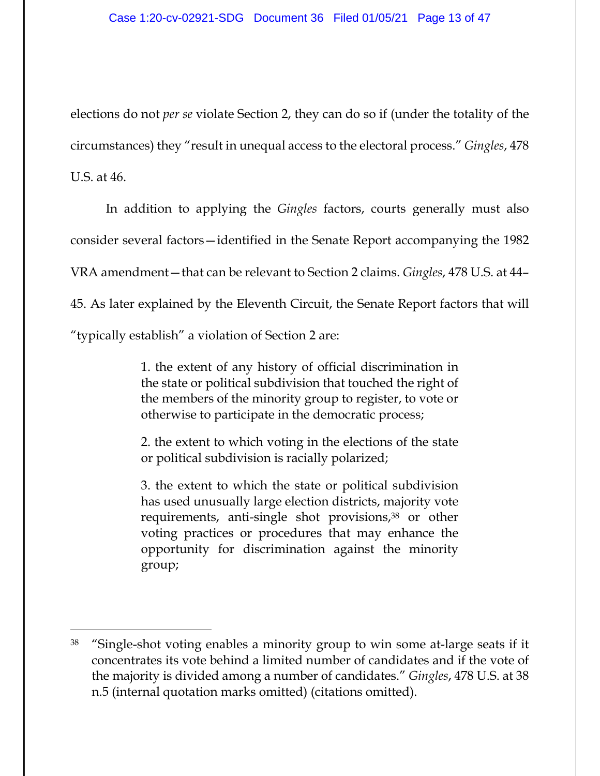elections do not *per se* violate Section 2, they can do so if (under the totality of the circumstances) they "result in unequal access to the electoral process." *Gingles*, 478 U.S. at 46.

In addition to applying the *Gingles* factors, courts generally must also consider several factors—identified in the Senate Report accompanying the 1982 VRA amendment—that can be relevant to Section 2 claims. *Gingles*, 478 U.S. at 44– 45. As later explained by the Eleventh Circuit, the Senate Report factors that will "typically establish" a violation of Section 2 are:

> 1. the extent of any history of official discrimination in the state or political subdivision that touched the right of the members of the minority group to register, to vote or otherwise to participate in the democratic process;

> 2. the extent to which voting in the elections of the state or political subdivision is racially polarized;

> 3. the extent to which the state or political subdivision has used unusually large election districts, majority vote requirements, anti-single shot provisions,<sup>38</sup> or other voting practices or procedures that may enhance the opportunity for discrimination against the minority group;

<sup>38 &</sup>quot;Single-shot voting enables a minority group to win some at-large seats if it concentrates its vote behind a limited number of candidates and if the vote of the majority is divided among a number of candidates." *Gingles*, 478 U.S. at 38 n.5 (internal quotation marks omitted) (citations omitted).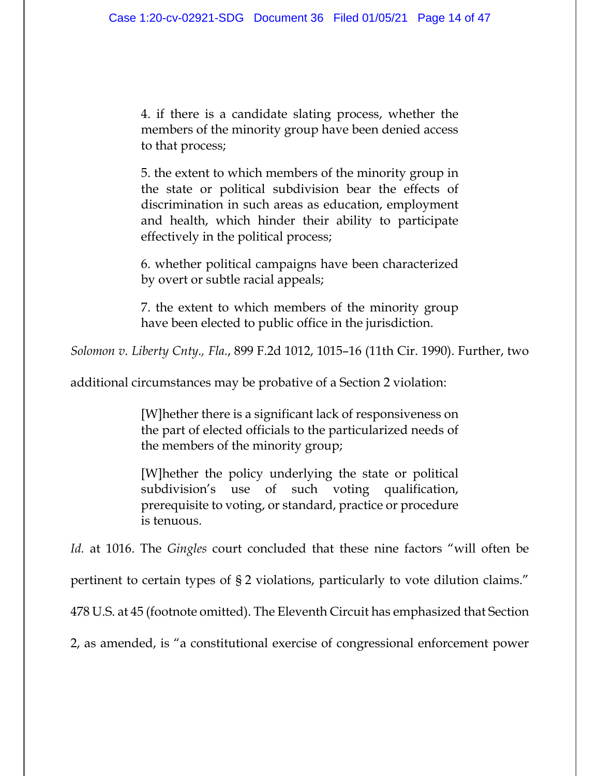4. if there is a candidate slating process, whether the members of the minority group have been denied access to that process;

5. the extent to which members of the minority group in the state or political subdivision bear the effects of discrimination in such areas as education, employment and health, which hinder their ability to participate effectively in the political process;

6. whether political campaigns have been characterized by overt or subtle racial appeals;

7. the extent to which members of the minority group have been elected to public office in the jurisdiction.

*Solomon v. Liberty Cnty., Fla.*, 899 F.2d 1012, 1015–16 (11th Cir. 1990). Further, two

additional circumstances may be probative of a Section 2 violation:

[W]hether there is a significant lack of responsiveness on the part of elected officials to the particularized needs of the members of the minority group;

[W]hether the policy underlying the state or political subdivision's use of such voting qualification, prerequisite to voting, or standard, practice or procedure is tenuous.

*Id.* at 1016. The *Gingles* court concluded that these nine factors "will often be

pertinent to certain types of § 2 violations, particularly to vote dilution claims."

478 U.S. at 45 (footnote omitted). The Eleventh Circuit has emphasized that Section

2, as amended, is "a constitutional exercise of congressional enforcement power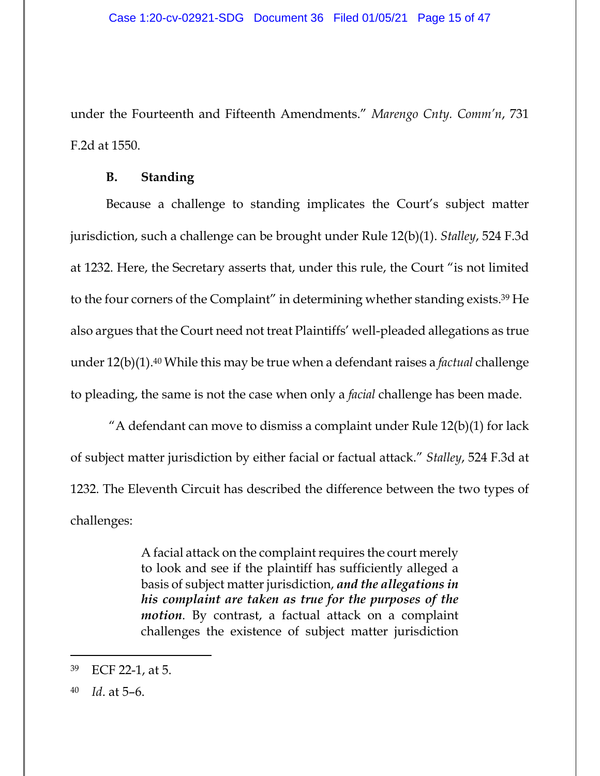under the Fourteenth and Fifteenth Amendments." *Marengo Cnty. Comm'n*, 731 F.2d at 1550.

### **B. Standing**

Because a challenge to standing implicates the Court's subject matter jurisdiction, such a challenge can be brought under Rule 12(b)(1). *Stalley*, 524 F.3d at 1232. Here, the Secretary asserts that, under this rule, the Court "is not limited to the four corners of the Complaint" in determining whether standing exists.39 He also argues that the Court need not treat Plaintiffs' well-pleaded allegations as true under 12(b)(1).40 While this may be true when a defendant raises a *factual* challenge to pleading, the same is not the case when only a *facial* challenge has been made.

"A defendant can move to dismiss a complaint under Rule  $12(b)(1)$  for lack of subject matter jurisdiction by either facial or factual attack." *Stalley*, 524 F.3d at 1232. The Eleventh Circuit has described the difference between the two types of challenges:

> A facial attack on the complaint requires the court merely to look and see if the plaintiff has sufficiently alleged a basis of subject matter jurisdiction, *and the allegations in his complaint are taken as true for the purposes of the motion*. By contrast, a factual attack on a complaint challenges the existence of subject matter jurisdiction

<sup>39</sup> ECF 22-1, at 5.

<sup>40</sup> *Id*. at 5–6.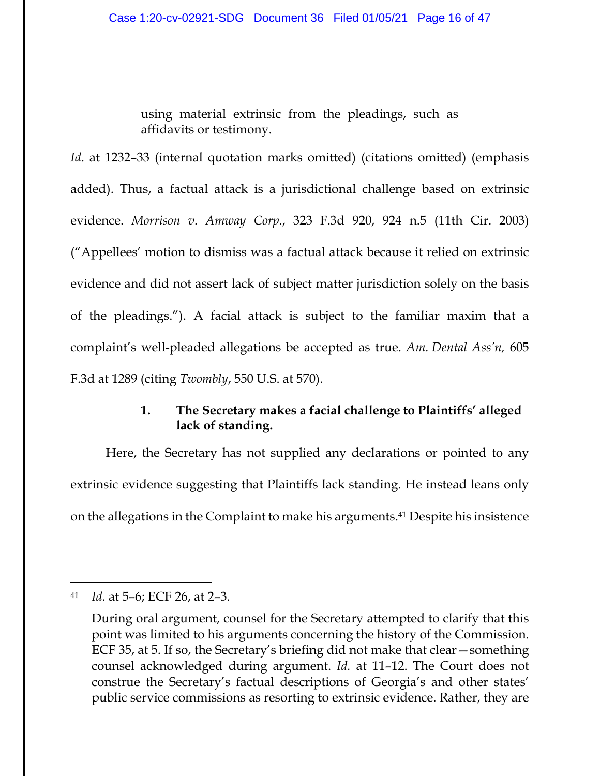using material extrinsic from the pleadings, such as affidavits or testimony.

*Id.* at 1232–33 (internal quotation marks omitted) (citations omitted) (emphasis added). Thus, a factual attack is a jurisdictional challenge based on extrinsic evidence. *Morrison v. Amway Corp.*, 323 F.3d 920, 924 n.5 (11th Cir. 2003) ("Appellees' motion to dismiss was a factual attack because it relied on extrinsic evidence and did not assert lack of subject matter jurisdiction solely on the basis of the pleadings."). A facial attack is subject to the familiar maxim that a complaint's well-pleaded allegations be accepted as true. *Am. Dental Ass'n,* 605 F.3d at 1289 (citing *Twombly*, 550 U.S. at 570).

# **1. The Secretary makes a facial challenge to Plaintiffs' alleged lack of standing.**

Here, the Secretary has not supplied any declarations or pointed to any extrinsic evidence suggesting that Plaintiffs lack standing. He instead leans only on the allegations in the Complaint to make his arguments.41 Despite his insistence

<sup>41</sup> *Id.* at 5–6; ECF 26, at 2–3.

During oral argument, counsel for the Secretary attempted to clarify that this point was limited to his arguments concerning the history of the Commission. ECF 35, at 5. If so, the Secretary's briefing did not make that clear—something counsel acknowledged during argument. *Id.* at 11–12. The Court does not construe the Secretary's factual descriptions of Georgia's and other states' public service commissions as resorting to extrinsic evidence. Rather, they are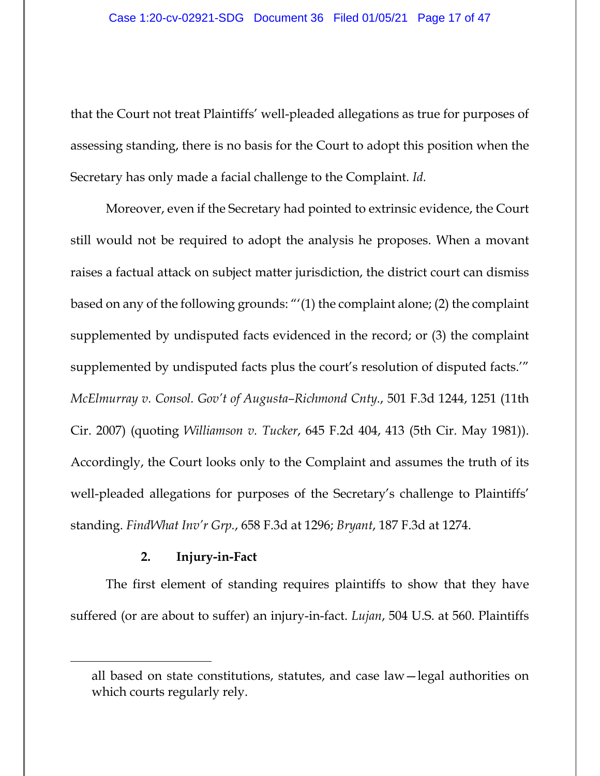that the Court not treat Plaintiffs' well-pleaded allegations as true for purposes of assessing standing, there is no basis for the Court to adopt this position when the Secretary has only made a facial challenge to the Complaint. *Id.*

Moreover, even if the Secretary had pointed to extrinsic evidence, the Court still would not be required to adopt the analysis he proposes. When a movant raises a factual attack on subject matter jurisdiction, the district court can dismiss based on any of the following grounds: "'(1) the complaint alone; (2) the complaint supplemented by undisputed facts evidenced in the record; or (3) the complaint supplemented by undisputed facts plus the court's resolution of disputed facts.'" *McElmurray v. Consol. Gov't of Augusta–Richmond Cnty.*, 501 F.3d 1244, 1251 (11th Cir. 2007) (quoting *Williamson v. Tucker*, 645 F.2d 404, 413 (5th Cir. May 1981)). Accordingly, the Court looks only to the Complaint and assumes the truth of its well-pleaded allegations for purposes of the Secretary's challenge to Plaintiffs' standing. *FindWhat Inv'r Grp.*, 658 F.3d at 1296; *Bryant*, 187 F.3d at 1274.

## **2. Injury-in-Fact**

The first element of standing requires plaintiffs to show that they have suffered (or are about to suffer) an injury-in-fact. *Lujan*, 504 U.S. at 560. Plaintiffs

all based on state constitutions, statutes, and case law—legal authorities on which courts regularly rely.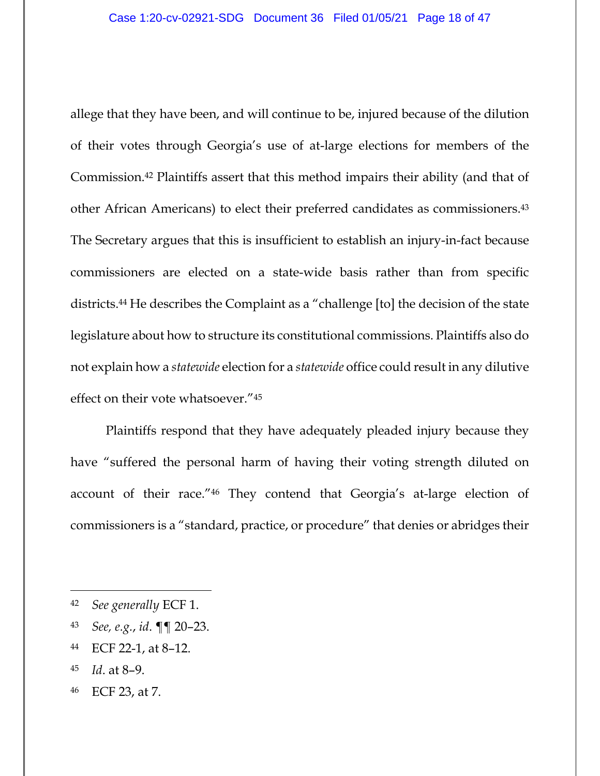allege that they have been, and will continue to be, injured because of the dilution of their votes through Georgia's use of at-large elections for members of the Commission.42 Plaintiffs assert that this method impairs their ability (and that of other African Americans) to elect their preferred candidates as commissioners.43 The Secretary argues that this is insufficient to establish an injury-in-fact because commissioners are elected on a state-wide basis rather than from specific districts.44 He describes the Complaint as a "challenge [to] the decision of the state legislature about how to structure its constitutional commissions. Plaintiffs also do not explain how a *statewide* election for a *statewide* office could result in any dilutive effect on their vote whatsoever."45

Plaintiffs respond that they have adequately pleaded injury because they have "suffered the personal harm of having their voting strength diluted on account of their race."46 They contend that Georgia's at-large election of commissioners is a "standard, practice, or procedure" that denies or abridges their

- <sup>43</sup> *See, e.g.*, *id*. ¶¶ 20–23.
- 44 ECF 22-1, at 8–12.
- 45 *Id*. at 8–9.
- 46 ECF 23, at 7.

<sup>42</sup> *See generally* ECF 1.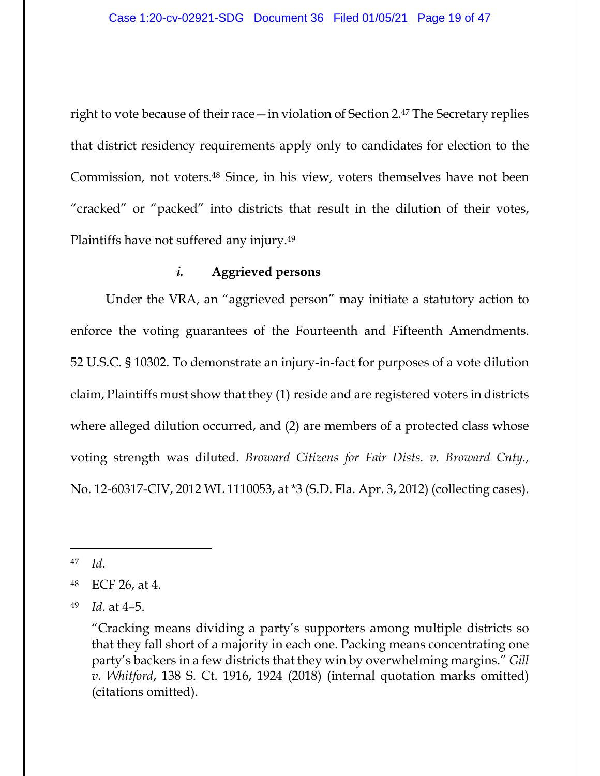right to vote because of their race—in violation of Section 2.47 The Secretary replies that district residency requirements apply only to candidates for election to the Commission, not voters.48 Since, in his view, voters themselves have not been "cracked" or "packed" into districts that result in the dilution of their votes, Plaintiffs have not suffered any injury.49

## *i.* **Aggrieved persons**

Under the VRA, an "aggrieved person" may initiate a statutory action to enforce the voting guarantees of the Fourteenth and Fifteenth Amendments. 52 U.S.C. § 10302. To demonstrate an injury-in-fact for purposes of a vote dilution claim, Plaintiffs must show that they (1) reside and are registered voters in districts where alleged dilution occurred, and (2) are members of a protected class whose voting strength was diluted. *Broward Citizens for Fair Dists. v. Broward Cnty.*, No. 12-60317-CIV, 2012 WL 1110053, at \*3 (S.D. Fla. Apr. 3, 2012) (collecting cases).

<sup>47</sup> *Id*.

<sup>48</sup> ECF 26, at 4.

<sup>49</sup> *Id*. at 4–5.

 <sup>&</sup>quot;Cracking means dividing a party's supporters among multiple districts so that they fall short of a majority in each one. Packing means concentrating one party's backers in a few districts that they win by overwhelming margins." *Gill v. Whitford*, 138 S. Ct. 1916, 1924 (2018) (internal quotation marks omitted) (citations omitted).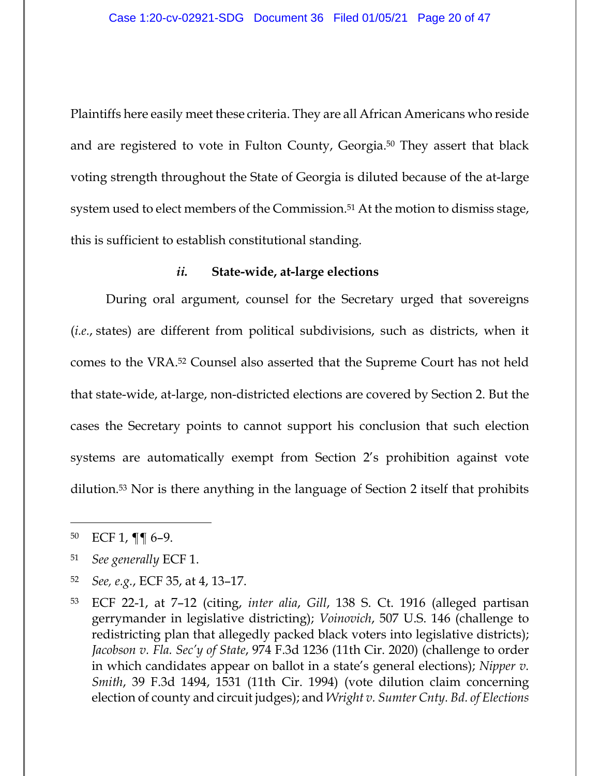Plaintiffs here easily meet these criteria. They are all African Americans who reside and are registered to vote in Fulton County, Georgia.50 They assert that black voting strength throughout the State of Georgia is diluted because of the at-large system used to elect members of the Commission.<sup>51</sup> At the motion to dismiss stage, this is sufficient to establish constitutional standing.

#### *ii.* **State-wide, at-large elections**

During oral argument, counsel for the Secretary urged that sovereigns (*i.e.*, states) are different from political subdivisions, such as districts, when it comes to the VRA.52 Counsel also asserted that the Supreme Court has not held that state-wide, at-large, non-districted elections are covered by Section 2. But the cases the Secretary points to cannot support his conclusion that such election systems are automatically exempt from Section 2's prohibition against vote dilution.53 Nor is there anything in the language of Section 2 itself that prohibits

<sup>52</sup> *See, e.g.*, ECF 35, at 4, 13–17.

<sup>50</sup> ECF 1, ¶¶ 6–9.

<sup>51</sup> *See generally* ECF 1.

<sup>53</sup> ECF 22-1, at 7–12 (citing, *inter alia*, *Gill*, 138 S. Ct. 1916 (alleged partisan gerrymander in legislative districting); *Voinovich*, 507 U.S. 146 (challenge to redistricting plan that allegedly packed black voters into legislative districts); *Jacobson v. Fla. Sec'y of State*, 974 F.3d 1236 (11th Cir. 2020) (challenge to order in which candidates appear on ballot in a state's general elections); *Nipper v. Smith*, 39 F.3d 1494, 1531 (11th Cir. 1994) (vote dilution claim concerning election of county and circuit judges); and *Wright v. Sumter Cnty. Bd. of Elections*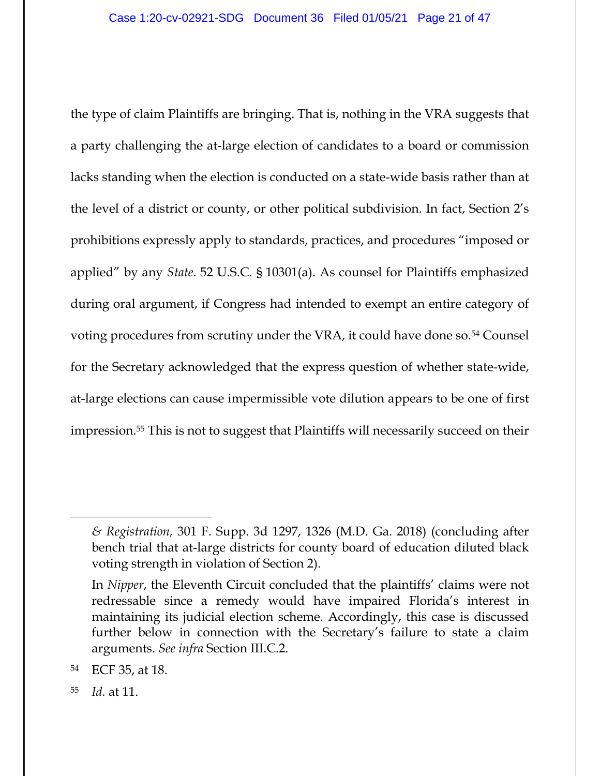the type of claim Plaintiffs are bringing. That is, nothing in the VRA suggests that a party challenging the at-large election of candidates to a board or commission lacks standing when the election is conducted on a state-wide basis rather than at the level of a district or county, or other political subdivision. In fact, Section 2's prohibitions expressly apply to standards, practices, and procedures "imposed or applied" by any *State*. 52 U.S.C. § 10301(a). As counsel for Plaintiffs emphasized during oral argument, if Congress had intended to exempt an entire category of voting procedures from scrutiny under the VRA, it could have done so.<sup>54</sup> Counsel for the Secretary acknowledged that the express question of whether state-wide, at-large elections can cause impermissible vote dilution appears to be one of first impression.55 This is not to suggest that Plaintiffs will necessarily succeed on their

*<sup>&</sup>amp; Registration,* 301 F. Supp. 3d 1297, 1326 (M.D. Ga. 2018) (concluding after bench trial that at-large districts for county board of education diluted black voting strength in violation of Section 2).

In *Nipper*, the Eleventh Circuit concluded that the plaintiffs' claims were not redressable since a remedy would have impaired Florida's interest in maintaining its judicial election scheme. Accordingly, this case is discussed further below in connection with the Secretary's failure to state a claim arguments. *See infra* Section III.C.2.

<sup>54</sup> ECF 35, at 18.

<sup>55</sup> *Id.* at 11.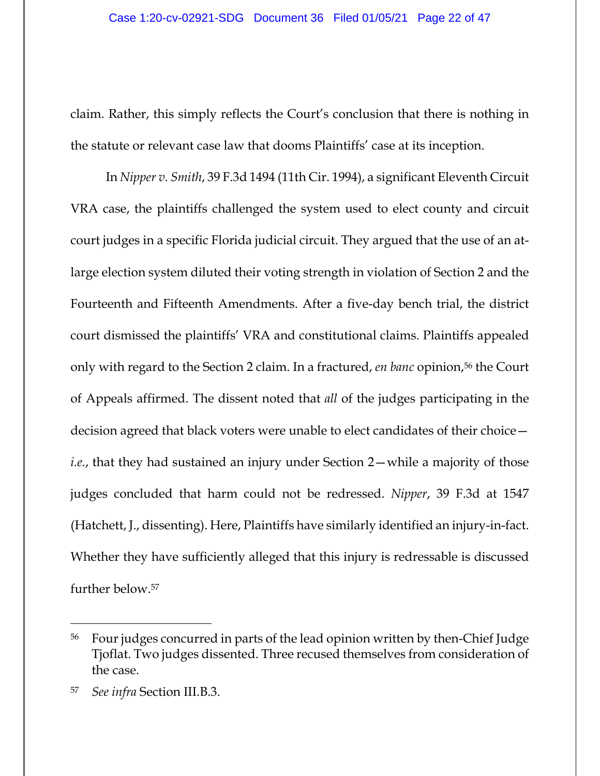claim. Rather, this simply reflects the Court's conclusion that there is nothing in the statute or relevant case law that dooms Plaintiffs' case at its inception.

In *Nipper v. Smith*, 39 F.3d 1494 (11th Cir. 1994), a significant Eleventh Circuit VRA case, the plaintiffs challenged the system used to elect county and circuit court judges in a specific Florida judicial circuit. They argued that the use of an atlarge election system diluted their voting strength in violation of Section 2 and the Fourteenth and Fifteenth Amendments. After a five-day bench trial, the district court dismissed the plaintiffs' VRA and constitutional claims. Plaintiffs appealed only with regard to the Section 2 claim. In a fractured, *en banc* opinion,56 the Court of Appeals affirmed. The dissent noted that *all* of the judges participating in the decision agreed that black voters were unable to elect candidates of their choice *i.e.*, that they had sustained an injury under Section 2—while a majority of those judges concluded that harm could not be redressed. *Nipper*, 39 F.3d at 1547 (Hatchett, J., dissenting). Here, Plaintiffs have similarly identified an injury-in-fact. Whether they have sufficiently alleged that this injury is redressable is discussed further below.57

<sup>56</sup> Four judges concurred in parts of the lead opinion written by then-Chief Judge Tjoflat. Two judges dissented. Three recused themselves from consideration of the case.

<sup>57</sup> *See infra* Section III.B.3.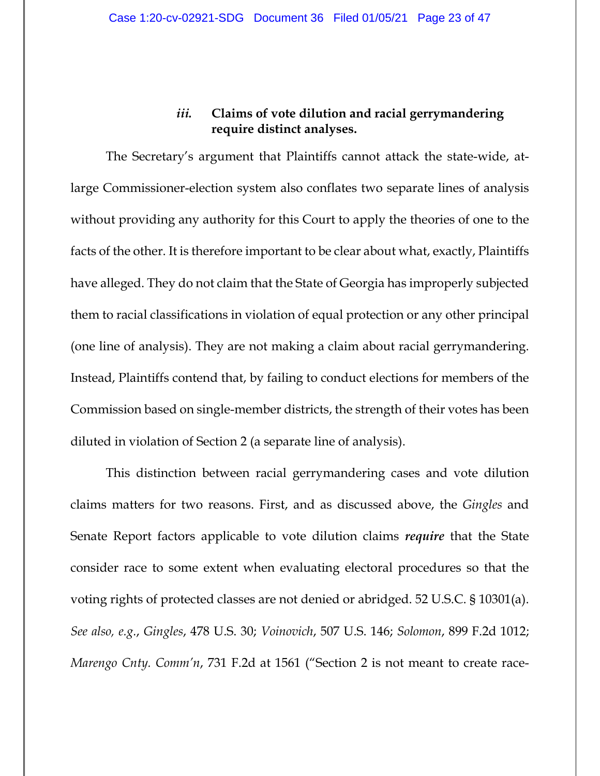## *iii.* **Claims of vote dilution and racial gerrymandering require distinct analyses.**

The Secretary's argument that Plaintiffs cannot attack the state-wide, atlarge Commissioner-election system also conflates two separate lines of analysis without providing any authority for this Court to apply the theories of one to the facts of the other. It is therefore important to be clear about what, exactly, Plaintiffs have alleged. They do not claim that the State of Georgia has improperly subjected them to racial classifications in violation of equal protection or any other principal (one line of analysis). They are not making a claim about racial gerrymandering. Instead, Plaintiffs contend that, by failing to conduct elections for members of the Commission based on single-member districts, the strength of their votes has been diluted in violation of Section 2 (a separate line of analysis).

This distinction between racial gerrymandering cases and vote dilution claims matters for two reasons. First, and as discussed above, the *Gingles* and Senate Report factors applicable to vote dilution claims *require* that the State consider race to some extent when evaluating electoral procedures so that the voting rights of protected classes are not denied or abridged. 52 U.S.C. § 10301(a). *See also, e.g.*, *Gingles*, 478 U.S. 30; *Voinovich*, 507 U.S. 146; *Solomon*, 899 F.2d 1012; *Marengo Cnty. Comm'n*, 731 F.2d at 1561 ("Section 2 is not meant to create race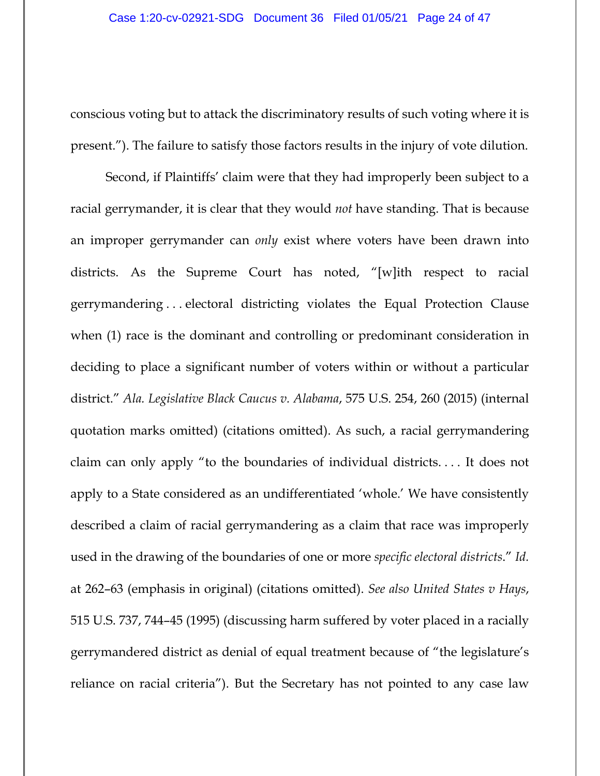conscious voting but to attack the discriminatory results of such voting where it is present."). The failure to satisfy those factors results in the injury of vote dilution.

Second, if Plaintiffs' claim were that they had improperly been subject to a racial gerrymander, it is clear that they would *not* have standing. That is because an improper gerrymander can *only* exist where voters have been drawn into districts. As the Supreme Court has noted, "[w]ith respect to racial gerrymandering . . . electoral districting violates the Equal Protection Clause when (1) race is the dominant and controlling or predominant consideration in deciding to place a significant number of voters within or without a particular district." *Ala. Legislative Black Caucus v. Alabama*, 575 U.S. 254, 260 (2015) (internal quotation marks omitted) (citations omitted). As such, a racial gerrymandering claim can only apply "to the boundaries of individual districts. . . . It does not apply to a State considered as an undifferentiated 'whole.' We have consistently described a claim of racial gerrymandering as a claim that race was improperly used in the drawing of the boundaries of one or more *specific electoral districts*." *Id.* at 262–63 (emphasis in original) (citations omitted). *See also United States v Hays*, 515 U.S. 737, 744–45 (1995) (discussing harm suffered by voter placed in a racially gerrymandered district as denial of equal treatment because of "the legislature's reliance on racial criteria"). But the Secretary has not pointed to any case law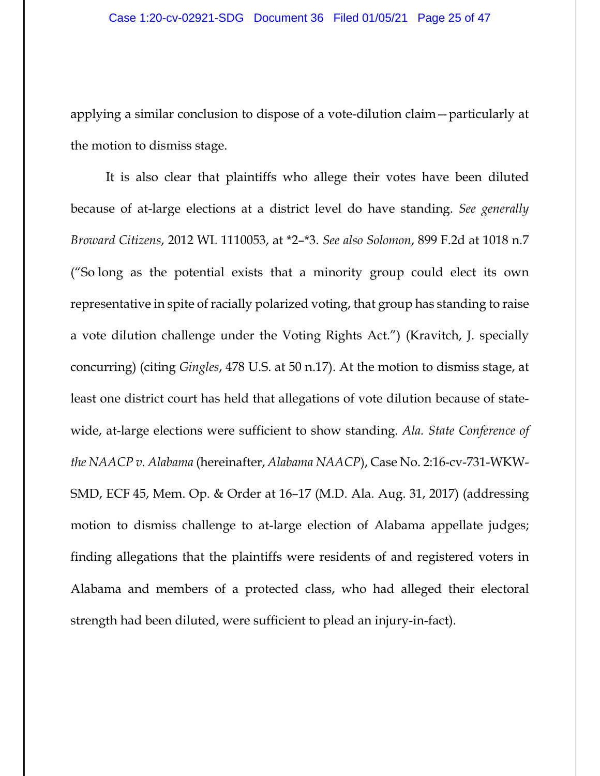applying a similar conclusion to dispose of a vote-dilution claim—particularly at the motion to dismiss stage.

It is also clear that plaintiffs who allege their votes have been diluted because of at-large elections at a district level do have standing. *See generally Broward Citizens*, 2012 WL 1110053, at \*2–\*3. *See also Solomon*, 899 F.2d at 1018 n.7 ("So long as the potential exists that a minority group could elect its own representative in spite of racially polarized voting, that group has standing to raise a vote dilution challenge under the Voting Rights Act.") (Kravitch, J. specially concurring) (citing *Gingles*, 478 U.S. at 50 n.17). At the motion to dismiss stage, at least one district court has held that allegations of vote dilution because of statewide, at-large elections were sufficient to show standing. *Ala. State Conference of the NAACP v. Alabama* (hereinafter, *Alabama NAACP*), Case No. 2:16-cv-731-WKW-SMD, ECF 45, Mem. Op. & Order at 16–17 (M.D. Ala. Aug. 31, 2017) (addressing motion to dismiss challenge to at-large election of Alabama appellate judges; finding allegations that the plaintiffs were residents of and registered voters in Alabama and members of a protected class, who had alleged their electoral strength had been diluted, were sufficient to plead an injury-in-fact).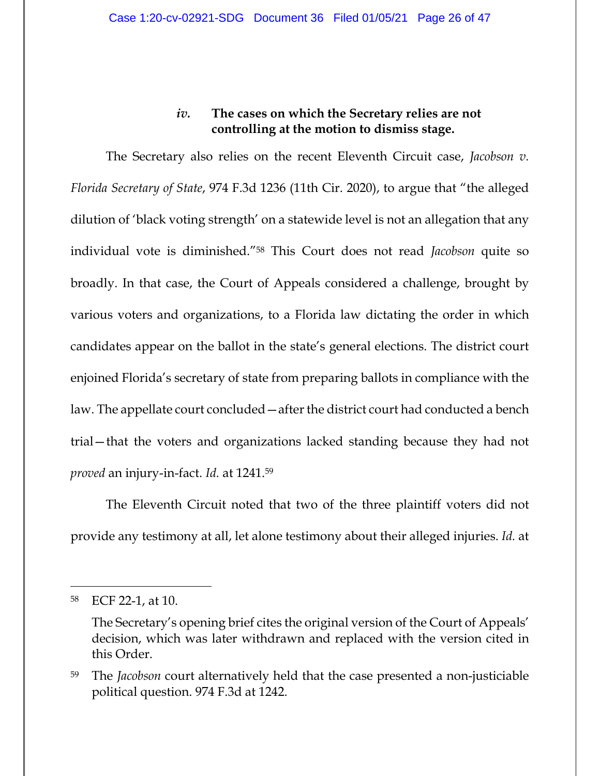## *iv.* **The cases on which the Secretary relies are not controlling at the motion to dismiss stage.**

The Secretary also relies on the recent Eleventh Circuit case, *Jacobson v. Florida Secretary of State*, 974 F.3d 1236 (11th Cir. 2020), to argue that "the alleged dilution of 'black voting strength' on a statewide level is not an allegation that any individual vote is diminished."58 This Court does not read *Jacobson* quite so broadly. In that case, the Court of Appeals considered a challenge, brought by various voters and organizations, to a Florida law dictating the order in which candidates appear on the ballot in the state's general elections. The district court enjoined Florida's secretary of state from preparing ballots in compliance with the law. The appellate court concluded—after the district court had conducted a bench trial—that the voters and organizations lacked standing because they had not *proved* an injury-in-fact. *Id.* at 1241.59

The Eleventh Circuit noted that two of the three plaintiff voters did not provide any testimony at all, let alone testimony about their alleged injuries. *Id.* at

<sup>58</sup> ECF 22-1, at 10.

The Secretary's opening brief cites the original version of the Court of Appeals' decision, which was later withdrawn and replaced with the version cited in this Order.

<sup>59</sup> The *Jacobson* court alternatively held that the case presented a non-justiciable political question. 974 F.3d at 1242.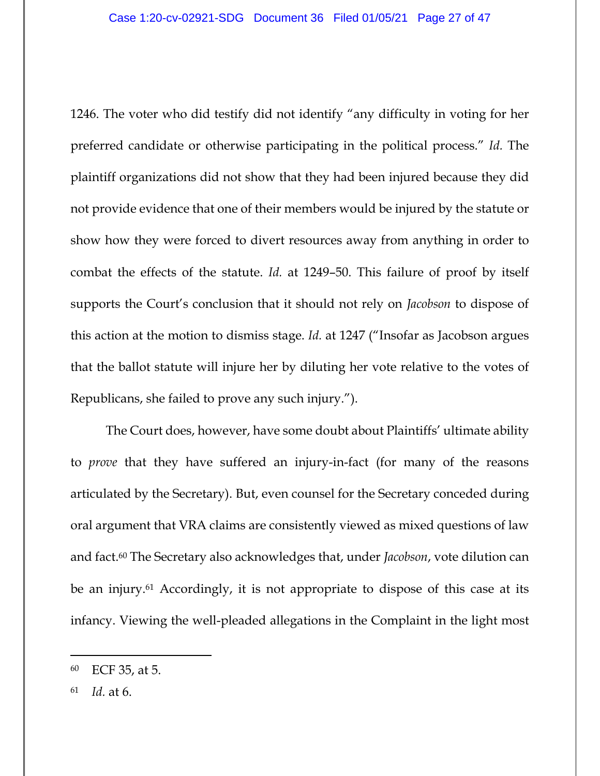1246. The voter who did testify did not identify "any difficulty in voting for her preferred candidate or otherwise participating in the political process." *Id.* The plaintiff organizations did not show that they had been injured because they did not provide evidence that one of their members would be injured by the statute or show how they were forced to divert resources away from anything in order to combat the effects of the statute. *Id.* at 1249–50. This failure of proof by itself supports the Court's conclusion that it should not rely on *Jacobson* to dispose of this action at the motion to dismiss stage. *Id.* at 1247 ("Insofar as Jacobson argues that the ballot statute will injure her by diluting her vote relative to the votes of Republicans, she failed to prove any such injury.").

The Court does, however, have some doubt about Plaintiffs' ultimate ability to *prove* that they have suffered an injury-in-fact (for many of the reasons articulated by the Secretary). But, even counsel for the Secretary conceded during oral argument that VRA claims are consistently viewed as mixed questions of law and fact.60 The Secretary also acknowledges that, under *Jacobson*, vote dilution can be an injury.<sup>61</sup> Accordingly, it is not appropriate to dispose of this case at its infancy. Viewing the well-pleaded allegations in the Complaint in the light most

<sup>60</sup> ECF 35, at 5.

<sup>61</sup> *Id.* at 6.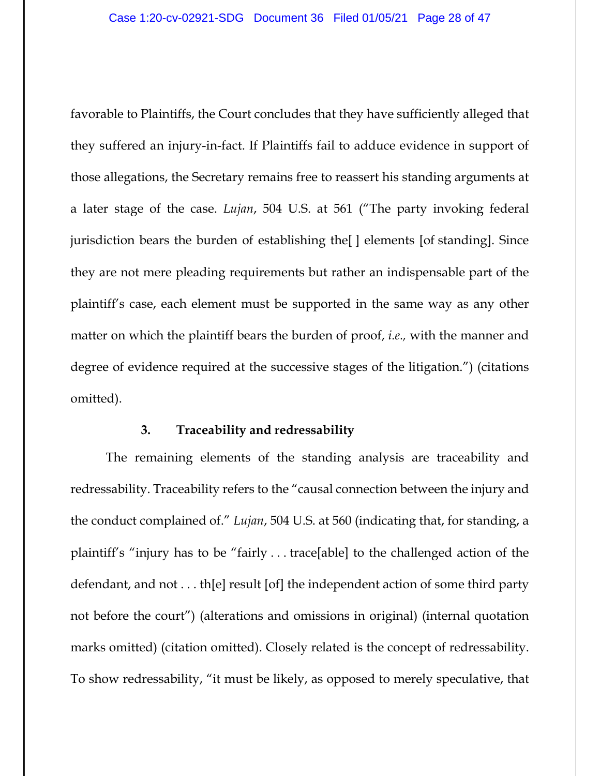favorable to Plaintiffs, the Court concludes that they have sufficiently alleged that they suffered an injury-in-fact. If Plaintiffs fail to adduce evidence in support of those allegations, the Secretary remains free to reassert his standing arguments at a later stage of the case. *Lujan*, 504 U.S. at 561 ("The party invoking federal jurisdiction bears the burden of establishing the[] elements [of standing]. Since they are not mere pleading requirements but rather an indispensable part of the plaintiff's case, each element must be supported in the same way as any other matter on which the plaintiff bears the burden of proof, *i.e.,* with the manner and degree of evidence required at the successive stages of the litigation.") (citations omitted).

## **3. Traceability and redressability**

The remaining elements of the standing analysis are traceability and redressability. Traceability refers to the "causal connection between the injury and the conduct complained of." *Lujan*, 504 U.S. at 560 (indicating that, for standing, a plaintiff's "injury has to be "fairly . . . trace[able] to the challenged action of the defendant, and not . . . th[e] result [of] the independent action of some third party not before the court") (alterations and omissions in original) (internal quotation marks omitted) (citation omitted). Closely related is the concept of redressability. To show redressability, "it must be likely, as opposed to merely speculative, that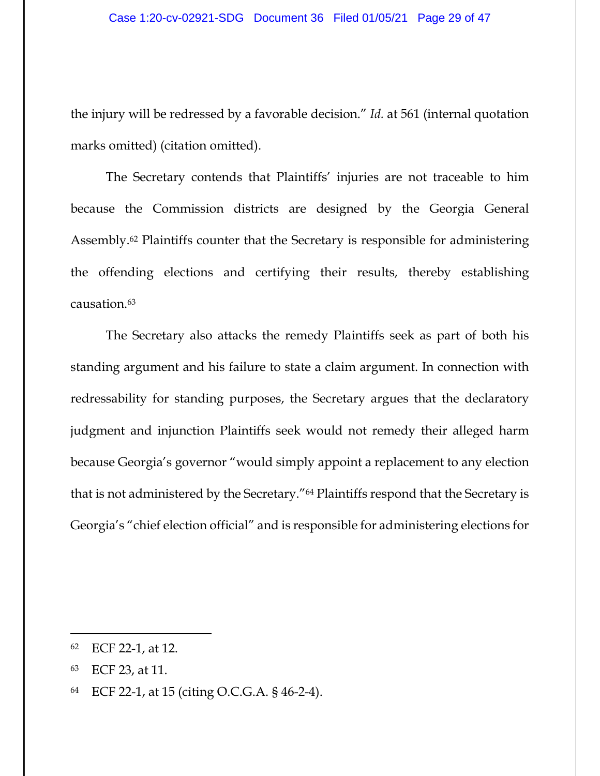the injury will be redressed by a favorable decision." *Id.* at 561 (internal quotation marks omitted) (citation omitted).

The Secretary contends that Plaintiffs' injuries are not traceable to him because the Commission districts are designed by the Georgia General Assembly.62 Plaintiffs counter that the Secretary is responsible for administering the offending elections and certifying their results, thereby establishing causation.63

The Secretary also attacks the remedy Plaintiffs seek as part of both his standing argument and his failure to state a claim argument. In connection with redressability for standing purposes, the Secretary argues that the declaratory judgment and injunction Plaintiffs seek would not remedy their alleged harm because Georgia's governor "would simply appoint a replacement to any election that is not administered by the Secretary."64 Plaintiffs respond that the Secretary is Georgia's "chief election official" and is responsible for administering elections for

<sup>62</sup> ECF 22-1, at 12.

<sup>63</sup> ECF 23, at 11.

<sup>64</sup> ECF 22-1, at 15 (citing O.C.G.A. § 46-2-4).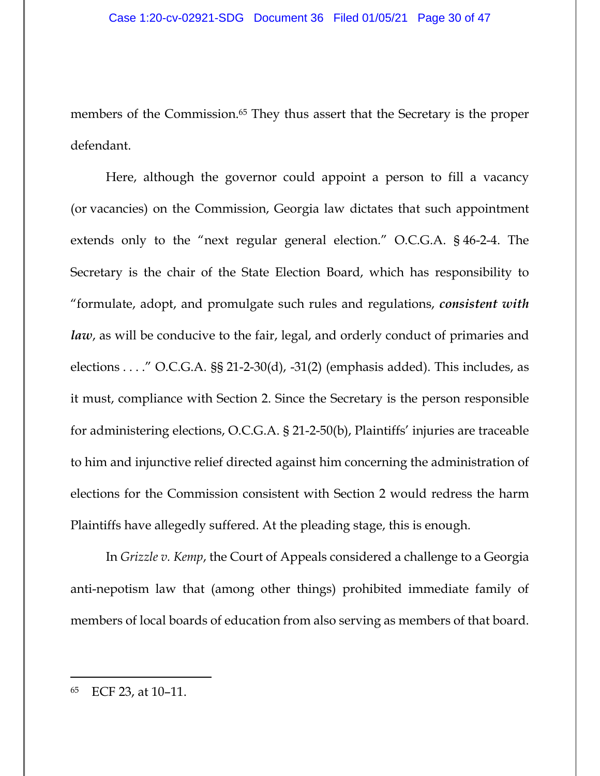members of the Commission.<sup>65</sup> They thus assert that the Secretary is the proper defendant.

Here, although the governor could appoint a person to fill a vacancy (or vacancies) on the Commission, Georgia law dictates that such appointment extends only to the "next regular general election." O.C.G.A. § 46-2-4. The Secretary is the chair of the State Election Board, which has responsibility to "formulate, adopt, and promulgate such rules and regulations, *consistent with law*, as will be conducive to the fair, legal, and orderly conduct of primaries and elections  $\dots$ ." O.C.G.A. §§ 21-2-30(d), -31(2) (emphasis added). This includes, as it must, compliance with Section 2. Since the Secretary is the person responsible for administering elections, O.C.G.A. § 21-2-50(b), Plaintiffs' injuries are traceable to him and injunctive relief directed against him concerning the administration of elections for the Commission consistent with Section 2 would redress the harm Plaintiffs have allegedly suffered. At the pleading stage, this is enough.

In *Grizzle v. Kemp*, the Court of Appeals considered a challenge to a Georgia anti-nepotism law that (among other things) prohibited immediate family of members of local boards of education from also serving as members of that board.

<sup>65</sup> ECF 23, at 10–11.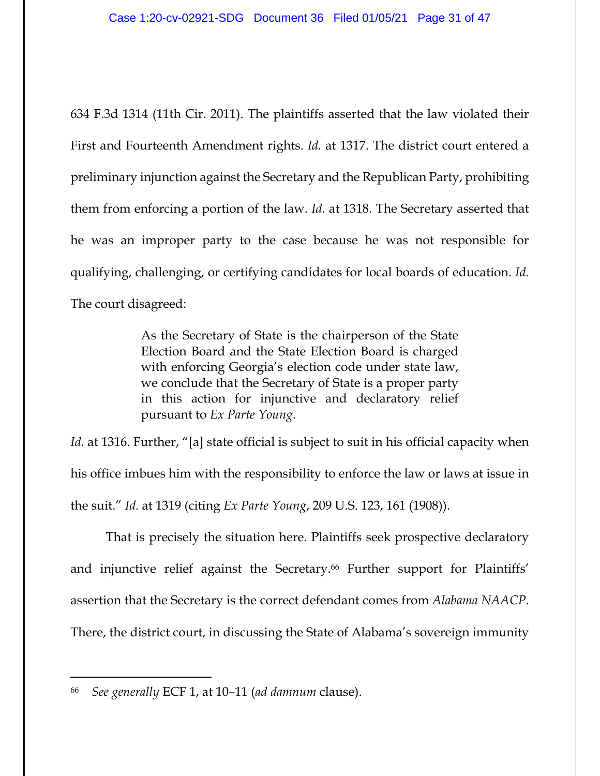634 F.3d 1314 (11th Cir. 2011). The plaintiffs asserted that the law violated their First and Fourteenth Amendment rights. *Id.* at 1317. The district court entered a preliminary injunction against the Secretary and the Republican Party, prohibiting them from enforcing a portion of the law. *Id.* at 1318. The Secretary asserted that he was an improper party to the case because he was not responsible for qualifying, challenging, or certifying candidates for local boards of education. *Id.* The court disagreed:

> As the Secretary of State is the chairperson of the State Election Board and the State Election Board is charged with enforcing Georgia's election code under state law, we conclude that the Secretary of State is a proper party in this action for injunctive and declaratory relief pursuant to *Ex Parte Young*.

Id. at 1316. Further, "[a] state official is subject to suit in his official capacity when his office imbues him with the responsibility to enforce the law or laws at issue in the suit." *Id.* at 1319 (citing *Ex Parte Young*, 209 U.S. 123, 161 (1908)).

That is precisely the situation here. Plaintiffs seek prospective declaratory and injunctive relief against the Secretary.<sup>66</sup> Further support for Plaintiffs' assertion that the Secretary is the correct defendant comes from *Alabama NAACP*. There, the district court, in discussing the State of Alabama's sovereign immunity

<sup>66</sup> *See generally* ECF 1, at 10–11 (*ad damnum* clause).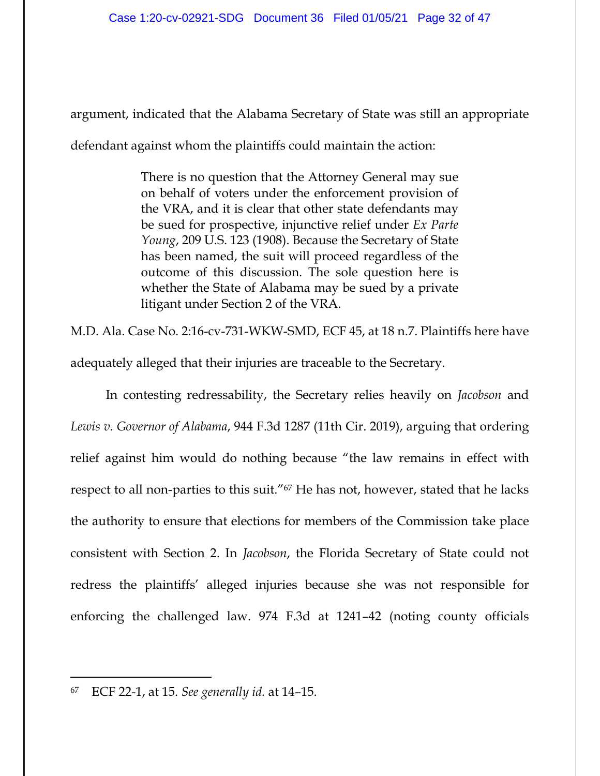argument, indicated that the Alabama Secretary of State was still an appropriate defendant against whom the plaintiffs could maintain the action:

> There is no question that the Attorney General may sue on behalf of voters under the enforcement provision of the VRA, and it is clear that other state defendants may be sued for prospective, injunctive relief under *Ex Parte Young*, 209 U.S. 123 (1908). Because the Secretary of State has been named, the suit will proceed regardless of the outcome of this discussion. The sole question here is whether the State of Alabama may be sued by a private litigant under Section 2 of the VRA.

M.D. Ala. Case No. 2:16-cv-731-WKW-SMD, ECF 45, at 18 n.7. Plaintiffs here have adequately alleged that their injuries are traceable to the Secretary.

In contesting redressability, the Secretary relies heavily on *Jacobson* and *Lewis v. Governor of Alabama*, 944 F.3d 1287 (11th Cir. 2019), arguing that ordering relief against him would do nothing because "the law remains in effect with respect to all non-parties to this suit."67 He has not, however, stated that he lacks the authority to ensure that elections for members of the Commission take place consistent with Section 2. In *Jacobson*, the Florida Secretary of State could not redress the plaintiffs' alleged injuries because she was not responsible for enforcing the challenged law. 974 F.3d at 1241–42 (noting county officials

<sup>67</sup> ECF 22-1, at 15. *See generally id.* at 14–15.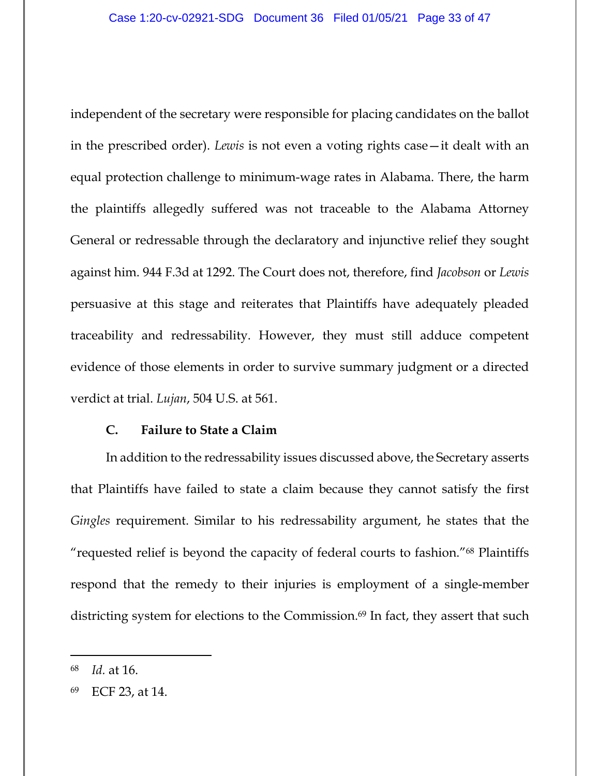independent of the secretary were responsible for placing candidates on the ballot in the prescribed order). *Lewis* is not even a voting rights case—it dealt with an equal protection challenge to minimum-wage rates in Alabama. There, the harm the plaintiffs allegedly suffered was not traceable to the Alabama Attorney General or redressable through the declaratory and injunctive relief they sought against him. 944 F.3d at 1292. The Court does not, therefore, find *Jacobson* or *Lewis* persuasive at this stage and reiterates that Plaintiffs have adequately pleaded traceability and redressability. However, they must still adduce competent evidence of those elements in order to survive summary judgment or a directed verdict at trial. *Lujan*, 504 U.S. at 561.

### **C. Failure to State a Claim**

In addition to the redressability issues discussed above, the Secretary asserts that Plaintiffs have failed to state a claim because they cannot satisfy the first *Gingles* requirement. Similar to his redressability argument, he states that the "requested relief is beyond the capacity of federal courts to fashion."68 Plaintiffs respond that the remedy to their injuries is employment of a single-member districting system for elections to the Commission.<sup>69</sup> In fact, they assert that such

<sup>68</sup> *Id.* at 16.

<sup>69</sup> ECF 23, at 14.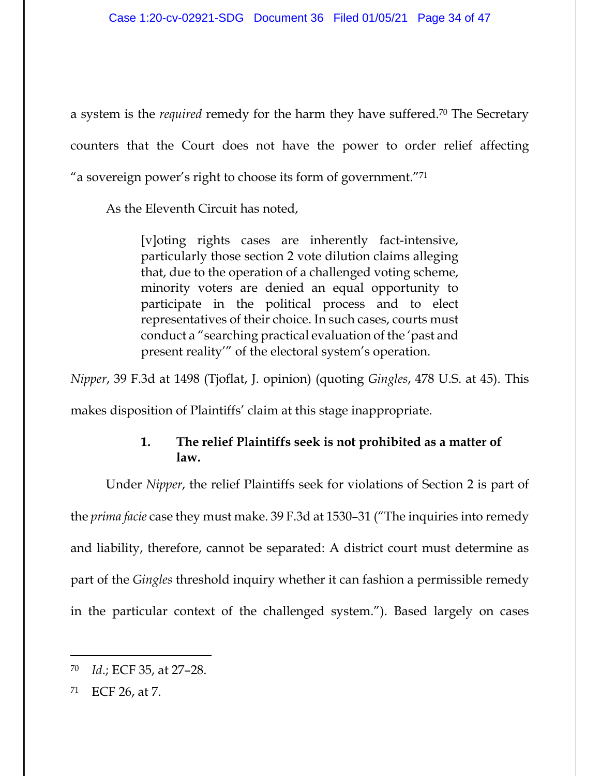a system is the *required* remedy for the harm they have suffered.70 The Secretary counters that the Court does not have the power to order relief affecting "a sovereign power's right to choose its form of government."71

As the Eleventh Circuit has noted,

[v]oting rights cases are inherently fact-intensive, particularly those section 2 vote dilution claims alleging that, due to the operation of a challenged voting scheme, minority voters are denied an equal opportunity to participate in the political process and to elect representatives of their choice. In such cases, courts must conduct a "searching practical evaluation of the 'past and present reality'" of the electoral system's operation.

*Nipper*, 39 F.3d at 1498 (Tjoflat, J. opinion) (quoting *Gingles*, 478 U.S. at 45). This

makes disposition of Plaintiffs' claim at this stage inappropriate.

# **1. The relief Plaintiffs seek is not prohibited as a matter of law.**

Under *Nipper*, the relief Plaintiffs seek for violations of Section 2 is part of the *prima facie* case they must make. 39 F.3d at 1530–31 ("The inquiries into remedy and liability, therefore, cannot be separated: A district court must determine as part of the *Gingles* threshold inquiry whether it can fashion a permissible remedy in the particular context of the challenged system."). Based largely on cases

<sup>70</sup> *Id*.; ECF 35, at 27–28.

<sup>71</sup> ECF 26, at 7.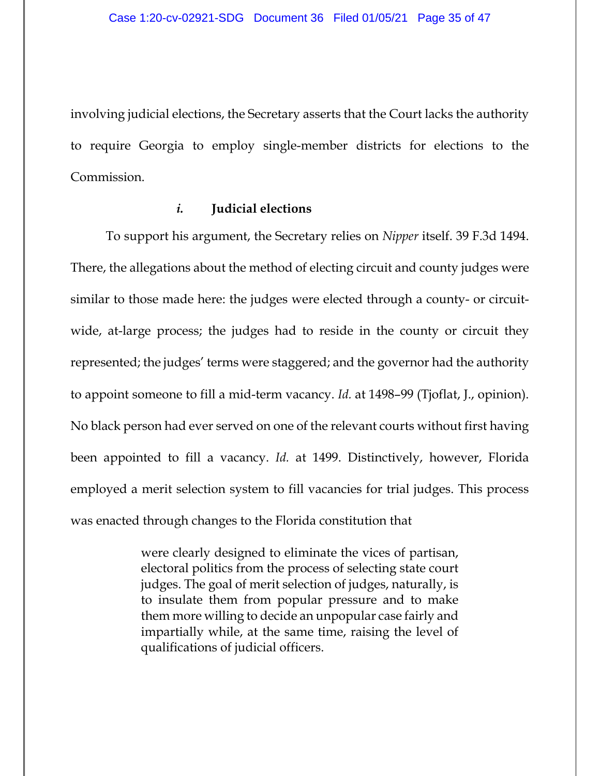involving judicial elections, the Secretary asserts that the Court lacks the authority to require Georgia to employ single-member districts for elections to the Commission.

### *i.* **Judicial elections**

To support his argument, the Secretary relies on *Nipper* itself. 39 F.3d 1494. There, the allegations about the method of electing circuit and county judges were similar to those made here: the judges were elected through a county- or circuitwide, at-large process; the judges had to reside in the county or circuit they represented; the judges' terms were staggered; and the governor had the authority to appoint someone to fill a mid-term vacancy. *Id.* at 1498–99 (Tjoflat, J., opinion). No black person had ever served on one of the relevant courts without first having been appointed to fill a vacancy. *Id.* at 1499. Distinctively, however, Florida employed a merit selection system to fill vacancies for trial judges. This process was enacted through changes to the Florida constitution that

> were clearly designed to eliminate the vices of partisan, electoral politics from the process of selecting state court judges. The goal of merit selection of judges, naturally, is to insulate them from popular pressure and to make them more willing to decide an unpopular case fairly and impartially while, at the same time, raising the level of qualifications of judicial officers.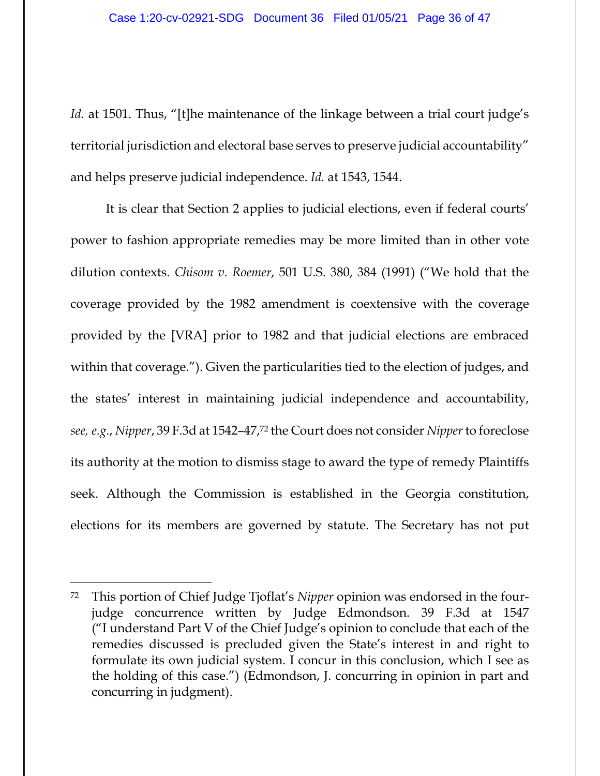*Id.* at 1501. Thus, "[t]he maintenance of the linkage between a trial court judge's territorial jurisdiction and electoral base serves to preserve judicial accountability" and helps preserve judicial independence. *Id.* at 1543, 1544.

It is clear that Section 2 applies to judicial elections, even if federal courts' power to fashion appropriate remedies may be more limited than in other vote dilution contexts. *Chisom v. Roemer*, 501 U.S. 380, 384 (1991) ("We hold that the coverage provided by the 1982 amendment is coextensive with the coverage provided by the [VRA] prior to 1982 and that judicial elections are embraced within that coverage."). Given the particularities tied to the election of judges, and the states' interest in maintaining judicial independence and accountability, *see, e.g.*, *Nipper*, 39 F.3d at 1542–47,72 the Court does not consider *Nipper* to foreclose its authority at the motion to dismiss stage to award the type of remedy Plaintiffs seek. Although the Commission is established in the Georgia constitution, elections for its members are governed by statute. The Secretary has not put

<sup>72</sup> This portion of Chief Judge Tjoflat's *Nipper* opinion was endorsed in the fourjudge concurrence written by Judge Edmondson. 39 F.3d at 1547 ("I understand Part V of the Chief Judge's opinion to conclude that each of the remedies discussed is precluded given the State's interest in and right to formulate its own judicial system. I concur in this conclusion, which I see as the holding of this case.") (Edmondson, J. concurring in opinion in part and concurring in judgment).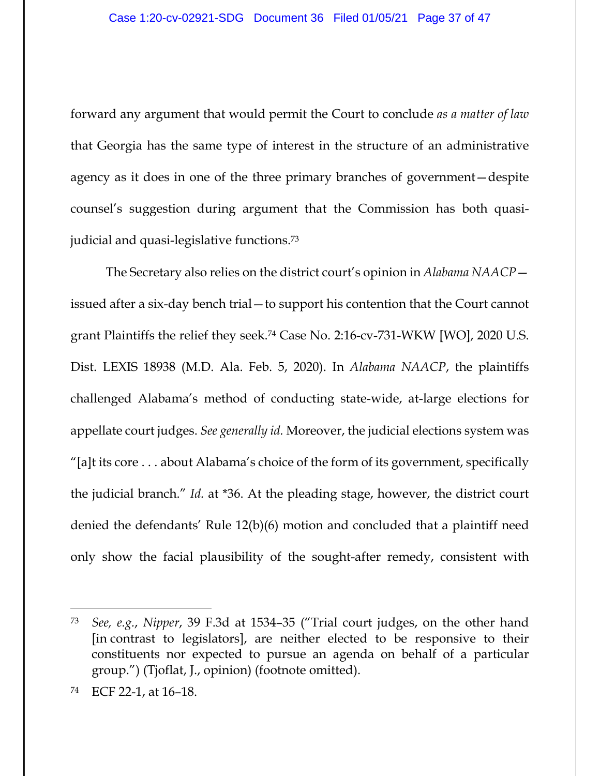forward any argument that would permit the Court to conclude *as a matter of law* that Georgia has the same type of interest in the structure of an administrative agency as it does in one of the three primary branches of government—despite counsel's suggestion during argument that the Commission has both quasijudicial and quasi-legislative functions.73

The Secretary also relies on the district court's opinion in *Alabama NAACP* issued after a six-day bench trial—to support his contention that the Court cannot grant Plaintiffs the relief they seek.74 Case No. 2:16-cv-731-WKW [WO], 2020 U.S. Dist. LEXIS 18938 (M.D. Ala. Feb. 5, 2020). In *Alabama NAACP*, the plaintiffs challenged Alabama's method of conducting state-wide, at-large elections for appellate court judges. *See generally id.* Moreover, the judicial elections system was "[a]t its core . . . about Alabama's choice of the form of its government, specifically the judicial branch." *Id.* at \*36. At the pleading stage, however, the district court denied the defendants' Rule 12(b)(6) motion and concluded that a plaintiff need only show the facial plausibility of the sought-after remedy, consistent with

<sup>73</sup> *See, e.g.*, *Nipper*, 39 F.3d at 1534–35 ("Trial court judges, on the other hand [in contrast to legislators], are neither elected to be responsive to their constituents nor expected to pursue an agenda on behalf of a particular group.") (Tjoflat, J., opinion) (footnote omitted).

<sup>74</sup> ECF 22-1, at 16–18.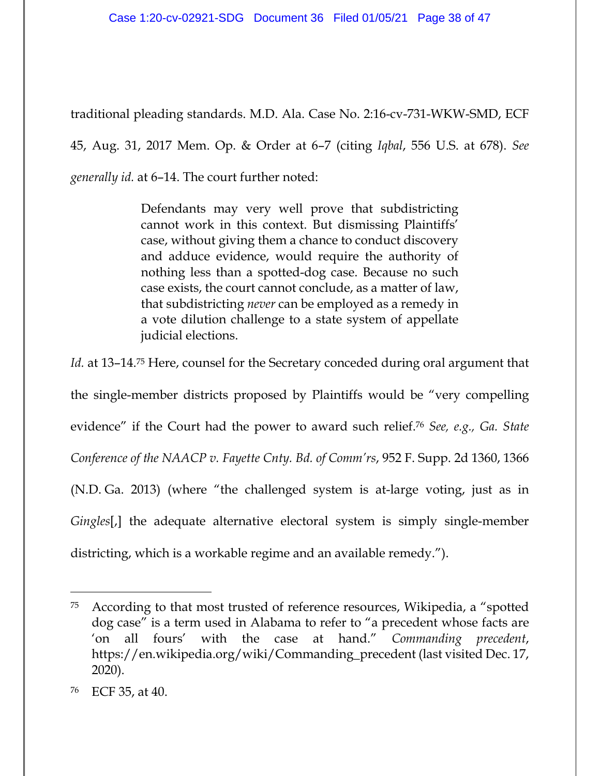traditional pleading standards. M.D. Ala. Case No. 2:16-cv-731-WKW-SMD, ECF

45, Aug. 31, 2017 Mem. Op. & Order at 6–7 (citing *Iqbal*, 556 U.S. at 678). *See* 

*generally id.* at 6–14. The court further noted:

Defendants may very well prove that subdistricting cannot work in this context. But dismissing Plaintiffs' case, without giving them a chance to conduct discovery and adduce evidence, would require the authority of nothing less than a spotted-dog case. Because no such case exists, the court cannot conclude, as a matter of law, that subdistricting *never* can be employed as a remedy in a vote dilution challenge to a state system of appellate judicial elections.

*Id.* at 13–14.75 Here, counsel for the Secretary conceded during oral argument that the single-member districts proposed by Plaintiffs would be "very compelling evidence" if the Court had the power to award such relief.76 *See, e.g., Ga. State Conference of the NAACP v. Fayette Cnty. Bd. of Comm'rs*, 952 F. Supp. 2d 1360, 1366 (N.D. Ga. 2013) (where "the challenged system is at-large voting, just as in *Gingles*[,] the adequate alternative electoral system is simply single-member districting, which is a workable regime and an available remedy.").

<sup>75</sup> According to that most trusted of reference resources, Wikipedia, a "spotted dog case" is a term used in Alabama to refer to "a precedent whose facts are 'on all fours' with the case at hand." *Commanding precedent*, https://en.wikipedia.org/wiki/Commanding\_precedent (last visited Dec. 17, 2020).

<sup>76</sup> ECF 35, at 40.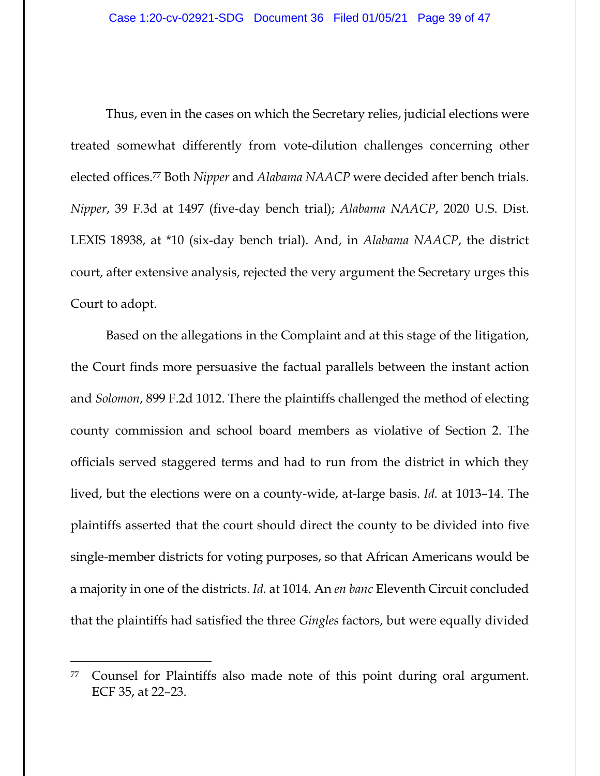Thus, even in the cases on which the Secretary relies, judicial elections were treated somewhat differently from vote-dilution challenges concerning other elected offices.77 Both *Nipper* and *Alabama NAACP* were decided after bench trials. *Nipper*, 39 F.3d at 1497 (five-day bench trial); *Alabama NAACP*, 2020 U.S. Dist. LEXIS 18938, at \*10 (six-day bench trial). And, in *Alabama NAACP*, the district court, after extensive analysis, rejected the very argument the Secretary urges this Court to adopt.

Based on the allegations in the Complaint and at this stage of the litigation, the Court finds more persuasive the factual parallels between the instant action and *Solomon*, 899 F.2d 1012. There the plaintiffs challenged the method of electing county commission and school board members as violative of Section 2. The officials served staggered terms and had to run from the district in which they lived, but the elections were on a county-wide, at-large basis. *Id.* at 1013–14. The plaintiffs asserted that the court should direct the county to be divided into five single-member districts for voting purposes, so that African Americans would be a majority in one of the districts. *Id.* at 1014. An *en banc* Eleventh Circuit concluded that the plaintiffs had satisfied the three *Gingles* factors, but were equally divided

<sup>77</sup> Counsel for Plaintiffs also made note of this point during oral argument. ECF 35, at 22–23.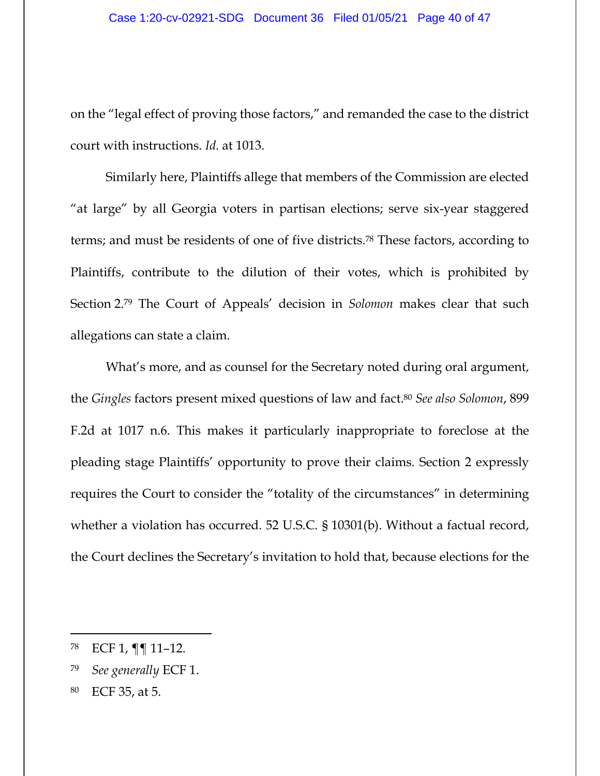on the "legal effect of proving those factors," and remanded the case to the district court with instructions. *Id.* at 1013.

Similarly here, Plaintiffs allege that members of the Commission are elected "at large" by all Georgia voters in partisan elections; serve six-year staggered terms; and must be residents of one of five districts.78 These factors, according to Plaintiffs, contribute to the dilution of their votes, which is prohibited by Section 2.79 The Court of Appeals' decision in *Solomon* makes clear that such allegations can state a claim.

What's more, and as counsel for the Secretary noted during oral argument, the *Gingles* factors present mixed questions of law and fact.80 *See also Solomon*, 899 F.2d at 1017 n.6. This makes it particularly inappropriate to foreclose at the pleading stage Plaintiffs' opportunity to prove their claims. Section 2 expressly requires the Court to consider the "totality of the circumstances" in determining whether a violation has occurred. 52 U.S.C. § 10301(b). Without a factual record, the Court declines the Secretary's invitation to hold that, because elections for the

<sup>78</sup> ECF 1, ¶¶ 11–12.

<sup>79</sup> *See generally* ECF 1.

<sup>80</sup> ECF 35, at 5.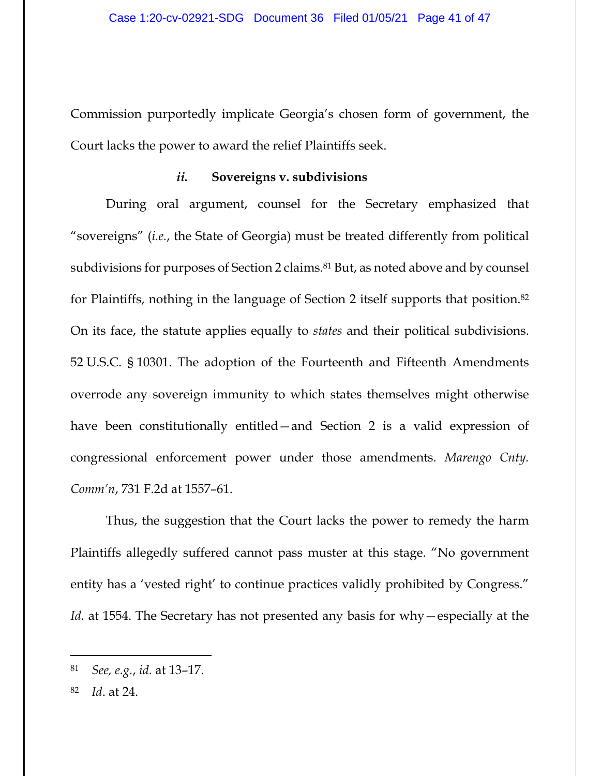Commission purportedly implicate Georgia's chosen form of government, the Court lacks the power to award the relief Plaintiffs seek.

#### *ii.* **Sovereigns v. subdivisions**

During oral argument, counsel for the Secretary emphasized that "sovereigns" (*i.e.*, the State of Georgia) must be treated differently from political subdivisions for purposes of Section 2 claims.<sup>81</sup> But, as noted above and by counsel for Plaintiffs, nothing in the language of Section 2 itself supports that position.82 On its face, the statute applies equally to *states* and their political subdivisions. 52 U.S.C. § 10301. The adoption of the Fourteenth and Fifteenth Amendments overrode any sovereign immunity to which states themselves might otherwise have been constitutionally entitled—and Section 2 is a valid expression of congressional enforcement power under those amendments. *Marengo Cnty. Comm'n*, 731 F.2d at 1557–61.

Thus, the suggestion that the Court lacks the power to remedy the harm Plaintiffs allegedly suffered cannot pass muster at this stage. "No government entity has a 'vested right' to continue practices validly prohibited by Congress." *Id.* at 1554. The Secretary has not presented any basis for why—especially at the

<sup>81</sup> *See, e.g.*, *id.* at 13–17.

<sup>82</sup> *Id*. at 24.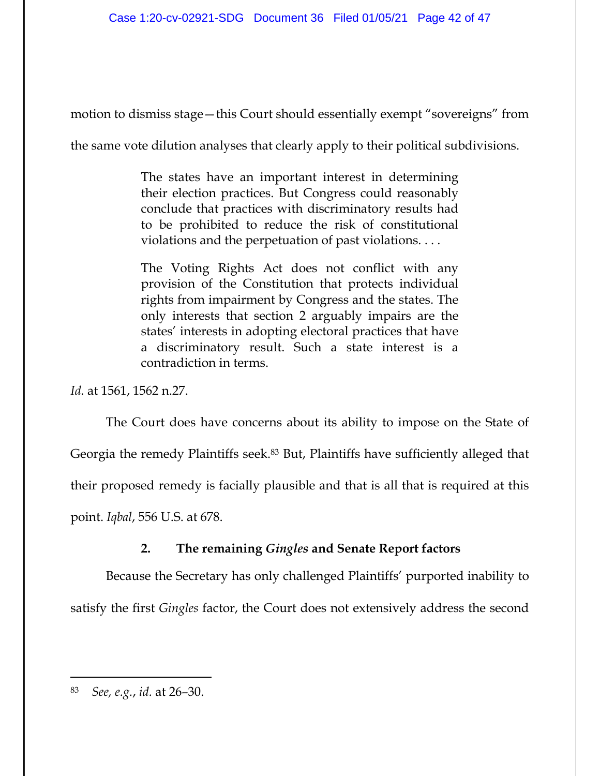motion to dismiss stage—this Court should essentially exempt "sovereigns" from

the same vote dilution analyses that clearly apply to their political subdivisions.

The states have an important interest in determining their election practices. But Congress could reasonably conclude that practices with discriminatory results had to be prohibited to reduce the risk of constitutional violations and the perpetuation of past violations. . . .

The Voting Rights Act does not conflict with any provision of the Constitution that protects individual rights from impairment by Congress and the states. The only interests that section 2 arguably impairs are the states' interests in adopting electoral practices that have a discriminatory result. Such a state interest is a contradiction in terms.

*Id.* at 1561, 1562 n.27.

The Court does have concerns about its ability to impose on the State of Georgia the remedy Plaintiffs seek.83 But, Plaintiffs have sufficiently alleged that their proposed remedy is facially plausible and that is all that is required at this point. *Iqbal*, 556 U.S. at 678.

## **2. The remaining** *Gingles* **and Senate Report factors**

Because the Secretary has only challenged Plaintiffs' purported inability to satisfy the first *Gingles* factor, the Court does not extensively address the second

<sup>83</sup> *See, e.g.*, *id.* at 26–30.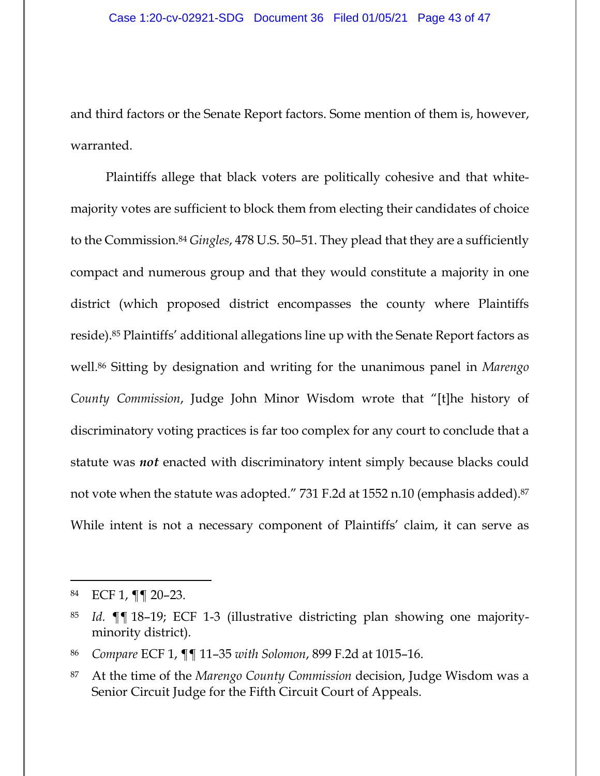and third factors or the Senate Report factors. Some mention of them is, however, warranted.

Plaintiffs allege that black voters are politically cohesive and that whitemajority votes are sufficient to block them from electing their candidates of choice to the Commission.84 *Gingles*, 478 U.S. 50–51. They plead that they are a sufficiently compact and numerous group and that they would constitute a majority in one district (which proposed district encompasses the county where Plaintiffs reside).85 Plaintiffs' additional allegations line up with the Senate Report factors as well.86 Sitting by designation and writing for the unanimous panel in *Marengo County Commission*, Judge John Minor Wisdom wrote that "[t]he history of discriminatory voting practices is far too complex for any court to conclude that a statute was *not* enacted with discriminatory intent simply because blacks could not vote when the statute was adopted." 731 F.2d at 1552 n.10 (emphasis added).87 While intent is not a necessary component of Plaintiffs' claim, it can serve as

86 *Compare* ECF 1, ¶¶ 11–35 *with Solomon*, 899 F.2d at 1015–16.

<sup>84</sup> ECF 1, ¶¶ 20–23.

<sup>85</sup> *Id.* ¶¶ 18–19; ECF 1-3 (illustrative districting plan showing one majorityminority district).

<sup>87</sup> At the time of the *Marengo County Commission* decision, Judge Wisdom was a Senior Circuit Judge for the Fifth Circuit Court of Appeals.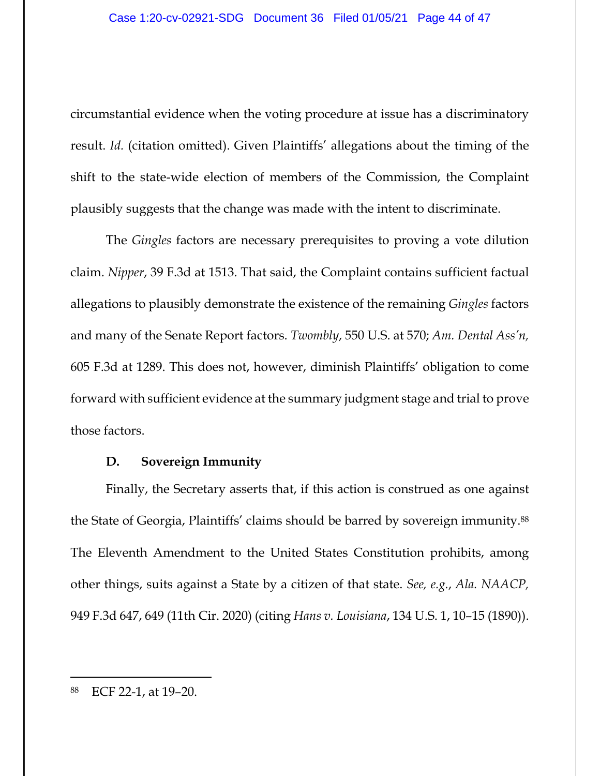circumstantial evidence when the voting procedure at issue has a discriminatory result. *Id.* (citation omitted). Given Plaintiffs' allegations about the timing of the shift to the state-wide election of members of the Commission, the Complaint plausibly suggests that the change was made with the intent to discriminate.

The *Gingles* factors are necessary prerequisites to proving a vote dilution claim. *Nipper*, 39 F.3d at 1513. That said, the Complaint contains sufficient factual allegations to plausibly demonstrate the existence of the remaining *Gingles* factors and many of the Senate Report factors. *Twombly*, 550 U.S. at 570; *Am. Dental Ass'n,*  605 F.3d at 1289. This does not, however, diminish Plaintiffs' obligation to come forward with sufficient evidence at the summary judgment stage and trial to prove those factors.

## **D. Sovereign Immunity**

Finally, the Secretary asserts that, if this action is construed as one against the State of Georgia, Plaintiffs' claims should be barred by sovereign immunity.88 The Eleventh Amendment to the United States Constitution prohibits, among other things, suits against a State by a citizen of that state. *See, e.g.*, *Ala. NAACP,* 949 F.3d 647, 649 (11th Cir. 2020) (citing *Hans v. Louisiana*, 134 U.S. 1, 10–15 (1890)).

<sup>88</sup> ECF 22-1, at 19–20.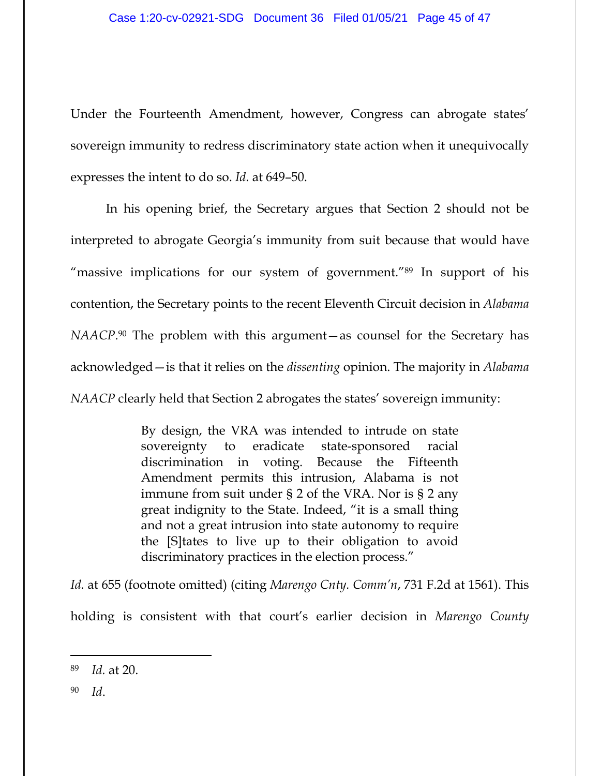Under the Fourteenth Amendment, however, Congress can abrogate states' sovereign immunity to redress discriminatory state action when it unequivocally expresses the intent to do so. *Id.* at 649–50.

In his opening brief, the Secretary argues that Section 2 should not be interpreted to abrogate Georgia's immunity from suit because that would have "massive implications for our system of government."89 In support of his contention, the Secretary points to the recent Eleventh Circuit decision in *Alabama NAACP*.<sup>90</sup> The problem with this argument—as counsel for the Secretary has acknowledged—is that it relies on the *dissenting* opinion. The majority in *Alabama NAACP* clearly held that Section 2 abrogates the states' sovereign immunity:

> By design, the VRA was intended to intrude on state sovereignty to eradicate state-sponsored racial discrimination in voting. Because the Fifteenth Amendment permits this intrusion, Alabama is not immune from suit under § 2 of the VRA. Nor is § 2 any great indignity to the State. Indeed, "it is a small thing and not a great intrusion into state autonomy to require the [S]tates to live up to their obligation to avoid discriminatory practices in the election process."

*Id.* at 655 (footnote omitted) (citing *Marengo Cnty. Comm'n*, 731 F.2d at 1561). This holding is consistent with that court's earlier decision in *Marengo County* 

<sup>89</sup> *Id.* at 20.

<sup>90</sup> *Id*.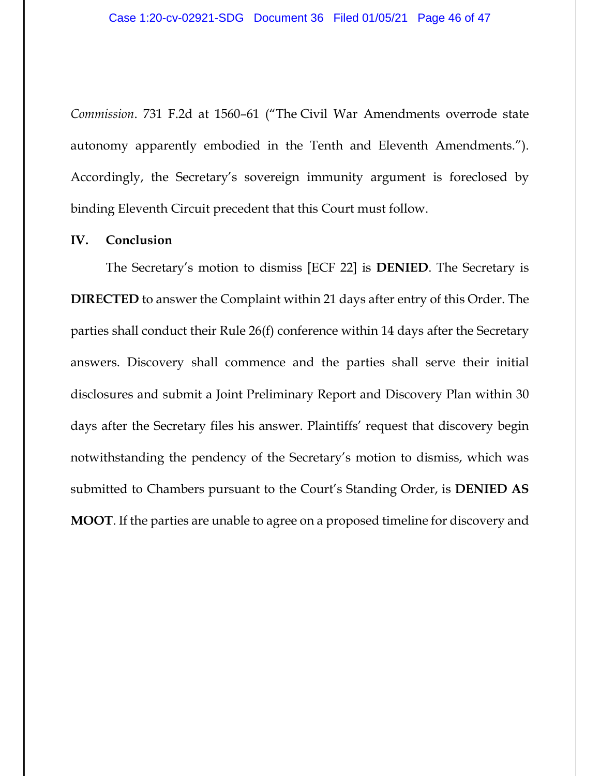*Commission*. 731 F.2d at 1560–61 ("The Civil War Amendments overrode state autonomy apparently embodied in the Tenth and Eleventh Amendments."). Accordingly, the Secretary's sovereign immunity argument is foreclosed by binding Eleventh Circuit precedent that this Court must follow.

#### **IV. Conclusion**

The Secretary's motion to dismiss [ECF 22] is **DENIED**. The Secretary is **DIRECTED** to answer the Complaint within 21 days after entry of this Order. The parties shall conduct their Rule 26(f) conference within 14 days after the Secretary answers. Discovery shall commence and the parties shall serve their initial disclosures and submit a Joint Preliminary Report and Discovery Plan within 30 days after the Secretary files his answer. Plaintiffs' request that discovery begin notwithstanding the pendency of the Secretary's motion to dismiss, which was submitted to Chambers pursuant to the Court's Standing Order, is **DENIED AS MOOT**. If the parties are unable to agree on a proposed timeline for discovery and